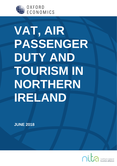

# **VAT, AIR PASSENGER DUTY AND TOURISM IN NORTHERN IRELAND**

**JUNE 2018**

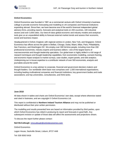

# **Oxford Economics**

Oxford Economics was founded in 1981 as a commercial venture with Oxford University's business college to provide economic forecasting and modelling to UK companies and financial institutions expanding abroad. Since then, we have become one of the world's foremost independent global advisory firms, providing reports, forecasts and analytical tools on 200 countries, 100 industrial sectors and over 3,000 cities. Our best-of-class global economic and industry models and analytical tools give us an unparalleled ability to forecast external market trends and assess their economic, social and business impact.

Headquartered in Oxford, England, with regional centres in London, New York, and Singapore, Oxford Economics has offices across the globe in Belfast, Chicago, Dubai, Miami, Milan, Paris, Philadelphia, San Francisco, and Washington DC. We employ over 300 full-time people, including more than 200 professional economists, industry experts and business editors—one of the largest teams of macroeconomists and thought leadership specialists. Our global team is highly skilled in a full range of research techniques and thought leadership capabilities, from econometric modelling, scenario framing, and economic impact analysis to market surveys, case studies, expert panels, and web analytics. Underpinning our in-house expertise is a contributor network of over 500 economists, analysts and journalists around the world.

Oxford Economics is a key adviser to corporate, financial and government decision-makers and thought leaders. Our worldwide client base now comprises over 1,500 international organisations, including leading multinational companies and financial institutions; key government bodies and trade associations; and top universities, consultancies, and think tanks.

# **June 2018**

All data shown in tables and charts are Oxford Economics' own data, except where otherwise stated and cited in footnotes, and are copyright © Oxford Economics Ltd.

This report is confidential to **Northern Ireland Tourism Alliance** and may not be published or distributed without their prior written permission.

The modelling and results presented here are based on information provided by third parties, upon which Oxford Economics has relied in producing its report and forecasts in good faith. Any subsequent revision or update of those data will affect the assessments and projections shown.

To discuss the report further please contact:

**Neil McCullough**: [nmccullough@oxfordeconomics.com](mailto:nmccullough@oxfordeconomics.com)

Oxford Economics

Lagan House, Sackville Street, Lisburn, BT27 4AB

Tel: 028 9263 5416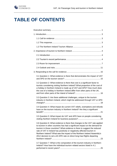

# **TABLE OF CONTENTS**

| 3.1 Question 1: What evidence is there that demonstrates the impact of VAT                                                                                                                                                                                                                                                                                                                                                                                                  |
|-----------------------------------------------------------------------------------------------------------------------------------------------------------------------------------------------------------------------------------------------------------------------------------------------------------------------------------------------------------------------------------------------------------------------------------------------------------------------------|
| 3.2 Question 2: What evidence is there that cost is a significant factor to<br>tourists considering visiting Northern Ireland? What proportion of the cost of<br>a holiday in Northern Ireland is made up of VAT and APD? How much does<br>the cost of a holiday in Northern Ireland differ from other parts of the UK,                                                                                                                                                     |
| 3.3 Question 3: Are there additional challenges, unique to the tourism<br>industry in Northern Ireland, which might be addressed through VAT or APD                                                                                                                                                                                                                                                                                                                         |
| 3.4 Question 4: What impact do current VAT reliefs, exemptions and refunds<br>have on the tourism industry in Northern Ireland? Are they a significant                                                                                                                                                                                                                                                                                                                      |
| 3.5 Question 5: What impact do VAT and APD have on people considering                                                                                                                                                                                                                                                                                                                                                                                                       |
| 3.6 Question 6: What evidence is there that changes to the VAT rate applied<br>to tourism in other countries has had a significant impact on the demand for<br>tourism in those countries? What evidence is there to suggest the reduced<br>rate of VAT in Ireland has positively or negatively affected tourism in<br>Northern Ireland? What was the impact of the Northern Ireland Assembly's<br>2012 decision to set a £0 APD rate on direct long-haul flights departing |
| 3.7 Question 7: What is the composition of the tourism industry in Northern<br>Ireland? How have the individual tourism related sectors listed in 4.1                                                                                                                                                                                                                                                                                                                       |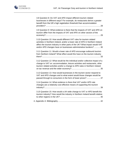| 3.8 Question 8: Do VAT and APD impact different tourism related<br>businesses in different ways? For example, do restaurants derive a greater<br>benefit from the UK's high registration threshold than accommodation                                                                                     |
|-----------------------------------------------------------------------------------------------------------------------------------------------------------------------------------------------------------------------------------------------------------------------------------------------------------|
| 3.9 Question 9: What evidence is there that the impacts of VAT and APD on<br>tourism differ from the impacts of VAT and APD on other sectors of the                                                                                                                                                       |
| 3.10 Question 10: How would different VAT rules for tourism related<br>activities in Northern Ireland, and/or a lower rate of APD in Northern Ireland<br>affect the tourism industry in other parts of the UK? What impact would VAT<br>and/or APD changes have on businesses administrative burdens?  30 |
| 3.11 Question 11: Would a lower rate of APD encourage outbound tourism<br>from Northern Ireland? What effect would this have on the tourism industry                                                                                                                                                      |
| 3.12 Question 12: What would be the individual and/or collective impact of a<br>change to VAT on: accommodation, leisure activities and restaurants, other<br>tourism related activities and/or a change to APD rates in Northern Ireland                                                                 |
| 3.13 Question 13: How would businesses in the tourism sector respond to<br>VAT and APD changes and to what extent would those changes would be<br>passed through to consumers in the form of lower prices?  37                                                                                            |
| 3.14 Question 14: What evidence is there that VAT and/or APD rate<br>changes are a relatively cost-effective means of supporting the tourism                                                                                                                                                              |
| 3.15 Question 15: How would a UK-wide change to VAT or APD benefit the<br>tourism industry? How would the industry in Northern Ireland benefit relative                                                                                                                                                   |
|                                                                                                                                                                                                                                                                                                           |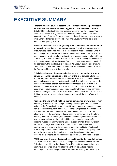# <span id="page-4-0"></span>**EXECUTIVE SUMMARY**

**Northern Ireland's tourism sector has been steadily growing over recent decades and the latest forecasts suggest that this trend will continue.** Data for 2016 indicates that it was a record-breaking year for tourism. The increasing success of key attractions – including Titanic Belfast and sites associated with Game of Thrones – have contributed strongly to recent growth, while Lonely Planet has identified Belfast and Causeway Coast as its top region to visit globally in 2018.

**However, the sector has been growing from a low base, and continues to underperform relative to competing markets.** Overall revenues generated by tourism are eight-times higher in the Republic of Ireland, despite having a population just 2.8 times larger than that of Northern Ireland. Despite relatively strong occupancy rates and a growing stock of accommodation, a key difficulty is retaining visitors to Northern Ireland. Many visitors to the key attractions tend to do so through day-trips originating from Dublin, therefore retaining much of the spending within the Republic of Ireland. As a result, the average amount spent per trip to Northern Ireland is under half the equivalent figures for either the Republic of Ireland or UK as a whole.

**This is largely due to the unique challenges and competition Northern Ireland faces when compared to the rest of the UK.** It shares a land border with the Republic of Ireland which has lower rates of VAT on tourism related goods and services and has no tax on air travel. The higher relative tax burden makes the domestic local tourism sector less competitive. As tourism is a relatively price-sensitive sector, the impact on cost born by a higher tax burden has a greater adverse impact on demand than for other goods and services. Proposed changes to VAT on tourism-related goods and/or APD on short-haul flights may help to overcome these barriers and unlock the sector's growth potential.

**Reducing the rate of VAT will help the tourism sector grow.** Evidence from modelling exercises, information provided by existing operators and similar policies in the Republic of Ireland all point towards a positive economic impact from a reduction in tourism-related VAT. Firms have pledged a commitment to sign a charter that would ensure a degree of pass-through to consumers following a cut in the VAT rate, reducing costs for consumers and therefore boosting demand. Meanwhile, the additional revenues generated by firms can be reinvested to improve the quality of Northern Ireland's tourism offer, boosting investment and training to further support growth. These factors in turn will encourage an expansion in output, which is associated with employment and wage growth, generating a positive multiplier effect which filters through both tourism and non-tourism related sectors. This policy may also reduce the size of the 'shadow economy', boosting output through reducing the disincentives for businesses below the VAT threshold to expand.

**APD has a distortionary effect on short-haul travel to the island of Ireland.** The difference in tax reduces the price competitiveness of domestic airports. Following the abolition of the Irish Air Travel Tax in 2014, some visitors who might have otherwise have travelled via Northern Ireland are instead encouraged to do so via airports in the Republic, increasing the tendency of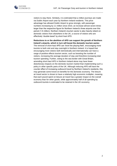

visitors to stay there. Similarly, it is estimated that a million journeys are made via Dublin Airport each year by Northern Ireland residents. This price advantage has allowed Dublin Airport to grow strongly, with passenger numbers increasing by 11 million since 2010, an increase almost seven-times larger than the respective figure for Northern Ireland's three airports over this period (1.6 million). Northern Ireland's tourism sector is also heavily reliant on domestic visitors from elsewhere in the UK, a source of visitors who are effectively 'double-taxed' by short-haul APD.

**Reductions to or the abolition of APD can support the growth of Northern Ireland's airports, which in turn will boost the domestic tourism sector.** The removal of short-haul APD can 'level the playing-field', encouraging more

tourists to both visit and stay overnight in Northern Ireland. It is hoped that encouraging more visitors both domestically and internationally can have a range of positive effects tourism sector, such as boosting the number of visitors, increasing the average duration of stay and therefore increasing total tourism spending. Further, owing to the sea border with Great Britain, amending short-haul APD in Northern Ireland alone may have fewer distortionary impacts on the domestic tourism market than implementing such a policy in other specific parts of the UK. Although reducing APD will have the counter effect of increasing outbound travel by Northern Ireland's residents, this may generate some knock-on benefits for the domestic economy. The leisure air travel sector is shown to have a relatively high economic multiplier, meaning that each pound spent on leisure air travel has a greater impact on the overall economy than for other goods, while approximately half of all spending by outbound tourists is estimated to be retained in the UK economy.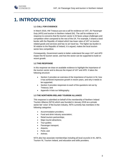

# <span id="page-6-1"></span><span id="page-6-0"></span>**1. INTRODUCTION**

# **1.1 CALL FOR EVIDENCE**

In March 2018, HM Treasury put out a call for evidence on VAT, Air Passenger Duty (APD) and tourism in Northern Ireland (NI). The call for evidence is in response to concerns that the tourism sector in NI faces unique challenges and competition when compared to the rest of the UK. For example, it shares a land border with the Republic of Ireland which has lower rates of VAT on tourism related goods and services and has no air travel tax. The higher tax burden in NI relative to the Republic of Ireland, it is argued, makes the local tourism sector less competitive.

Consequently, Government wants to better understand the ways VAT and APD impact the NI tourism sector, and how the sector can be supported to build on recent growth.

# <span id="page-6-2"></span>**1.2 THIS RESPONSE**

In this response we draw on available evidence to highlight the importance of the tourism sector and to discuss the impact of VAT and APD. It takes the following structure:

- Section 2 provides an overview of the importance of tourism in NI, how it has achieved impressive growth in recent years, and why it needs to be supported;
- Section 3 provides responses to each of the questions set out by Treasury; and
- Appendix A lists our bibliography.

## <span id="page-6-3"></span>**1.3 THE NORTHERN IRELAND TOURISM ALLIANCE**

This response is submitted on behalf of the membership of Northern Ireland Tourism Alliance (NITA) which was founded in January 2018 as a private sector led 'voice' of the tourism industry. NITA currently has members in the following categories:

- Accommodation providers;
- Food and drink industry association;
- Retail tourism partnerships;
- Major tourist attractions;
- Tour guides;
- Passenger transport;
- Airports;
- Ports; and
- Airlines.

NITA also has associate memberships including all local councils in NI, ABTA, Tourism NI, Tourism Ireland, and education and skills providers.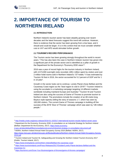

-

# <span id="page-7-1"></span><span id="page-7-0"></span>**2. IMPORTANCE OF TOURISM TO NORTHERN IRELAND**

# **2.1 INTRODUCTION**

Northern Ireland's tourism sector has been steadily growing over recent decades and the latest forecasts suggest this trend will continue. However, there is evidence that the sector has been growing from a low base, and it should and could be larger. It is in this context that we must consider whether cuts to VAT and APD would stimulate further growth.

# <span id="page-7-2"></span>**2.2 TOURISM'S RECORD PERFORMANCE**

The Tourism sector has been growing strongly throughout the world in recent years. <sup>1</sup> This has also been the case in Northern Ireland, tourism has grown into a significant part of the private sector and is identified as a pillar of growth in the Department for the Economy's "Economy 2030 vision"<sup>2</sup> .

<span id="page-7-4"></span><span id="page-7-3"></span>2016 was a year of record highs for the tourism industry in Northern Ireland, with 4,573,000 overnight visits recorded, £851 million spent by visitors and over 2 million hotel rooms sold in Northern Ireland's 137 hotels.<sup>3</sup> It was estimated by Tourism NI that in 2016, the sector accounted for 5.2 percent of GDP and for 1 in 10 jobs<sup>4</sup> .

Growth in the sector looks set to continue. Lonely Planet chose Belfast and the Causeway Coast region as the *"best region to visit in 2018"*. <sup>5</sup> Tourism Ireland is using the accolade in a marketing campaign targeting 14 different markets worldwide including mainland Europe and Australia.<sup>6</sup> Tourism NI and Tourism Ireland are also using the success of Game of Thrones to promote tourism to Northern Ireland. The promotions include the creation of an 80-metre long Bayeux-style tapestry telling the story of seasons 1-7, which has seen by 100,000 visitors. The current Game of Thrones campaign is building off the success of the 2016 'Door of Thrones' campaign which was seen by 126 million people.<sup>7</sup>

[ni.gov.uk/sites/default/files/consultations/economy/industrial-strategy-ni-consultation-document.pdf](https://www.economy-ni.gov.uk/sites/default/files/consultations/economy/industrial-strategy-ni-consultation-document.pdf) <sup>3</sup> NISRA, *Northern Ireland Annual Hotel Occupancy Survey 2016* (Belfast: NISRA, 2017).

[https://www.nisra.gov.uk/sites/nisra.gov.uk/files/publications/Northern-Ireland-Annual-Hotel-Occupancy-Survey-](https://www.nisra.gov.uk/sites/nisra.gov.uk/files/publications/Northern-Ireland-Annual-Hotel-Occupancy-Survey-2016.pdf)[2016.pdf](https://www.nisra.gov.uk/sites/nisra.gov.uk/files/publications/Northern-Ireland-Annual-Hotel-Occupancy-Survey-2016.pdf)

<sup>1</sup> <http://media.unwto.org/press-release/2018-01-15/2017-international-tourism-results-highest-seven-years>

<sup>2</sup> Department for the Economy, Economy 2030: A consultation on an Industrial Strategy for Northern Ireland (Belfast: Department for the Economy, 2017)[. https://www.economy-](https://www.economy-ni.gov.uk/sites/default/files/consultations/economy/industrial-strategy-ni-consultation-document.pdf)

<sup>4</sup> Tourism Ireland and Tourism NI, *Safeguarding and Growing the Northern Ireland Tourism Economy 2017* (Dublin: Tourism Ireland, 2017).

<sup>5</sup> <https://www.lonelyplanet.com/northern-ireland/belfast-the-causeway-coast>

<sup>6</sup> [https://www.tourismireland.com/Press-Releases/2017/October/Lonely-Planet-declares-Belfast-and-the-](https://www.tourismireland.com/Press-Releases/2017/October/Lonely-Planet-declares-Belfast-and-the-Causeway-Co)[Causeway-Co](https://www.tourismireland.com/Press-Releases/2017/October/Lonely-Planet-declares-Belfast-and-the-Causeway-Co)

<sup>7</sup> <https://tourismni.com/Grow-Your-Business/game-of-thrones/game-of-thrones-campaigns/>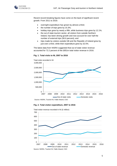

Recent record breaking figures have come on the back of significant recent growth. From 2011 to 2016:

- overnight expenditure has grown by almost a third;
- the number of trips grew by 15.3%;
- holiday trips grew by nearly a fifth, while business trips grew by 12.1%;
- the out of state tourism sector, all visitors from outside Northern Ireland, has been driving growth and now account for over half the number of external trips (56.6 percent); and
- trips made by visitors outside GB and the Republic of Ireland grew by just over a third, while their expenditure grew by 32.5%.

The latest data from NISRA suggested that out of state visitor revenue accounted for 72.2 percent of the £851m total visitor revenue in 2016.



#### **Fig. 1. Total visits to NI, 2007 to 2016**

**Fig. 2. Total visitor expenditure, 2007 to 2016**



Source: NISRA, Tourism NI, Failte Irleand, CSO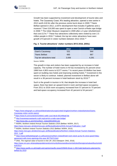

Growth has been supported by investment and development of tourist sites and hotels. The Causeway Coast, NI's leading attraction, opened a new centre in 2012 worth £18.5m after the previous centre burnt down in 2000.<sup>8</sup> Titanic Belfast opened in 2012, a £97m development that includes 9 galleries and a museum.<sup>9</sup> Over £16,000 was spent to open a new Carrick-a-Rede rope bridge in 2008.<sup>10</sup> The Ulster Museum reopened in 2009 after a 3-year refurbishment that cost £17m.<sup>11</sup> These four attractions collectively were visited by over 2.5 million people in 2016.<sup>12</sup> Indeed, the top ten visitor attractions have seen growth of 9 percent in visitor numbers between 2012-2016.<sup>13</sup>

# <span id="page-9-0"></span>**Fig. 3. Tourist attractions' visitor numbers 2012-2016, (000s)**

|                           | 2012  | 2016  |
|---------------------------|-------|-------|
| Giant's Causeway          | 531   | 944   |
| <b>Titanic Belfast</b>    | 665   | 667   |
| Top ten attractions total | 3.936 | 4.291 |

Source: NISRA

<span id="page-9-1"></span>This growth in trips and visitors has been supported by an increase in hotel capacity. The number of hotel rooms in NI has increased by 91 percent since 1998 from 4,903 rooms to 8,577 rooms. <sup>14</sup> In recent years £0.6billion has been spent on building new hotels and improving existing hotels.<sup>15</sup> Investment in the sector is likely to continue. Indeed, planned investment in Belfast alone will result in a 36 percent increase in hotel bedroom stock by 2019. 16

Such is the growth in tourism in NI, that despite the increase in hotel bed space, there has been an upward trend in room and bed space occupancy. From 2011 to 2016 room occupancy increased from 57 percent to 70 percent and bed-space occupancy increased from 42 percent to 54 percent.<sup>[3](#page-7-3)</sup>

-

<sup>8</sup> [https://www.telegraph.co.uk/travel/destinations/europe/united-kingdom/northern-ireland/articles/Giants-](https://www.telegraph.co.uk/travel/destinations/europe/united-kingdom/northern-ireland/articles/Giants-Causeway-visitor-centre-opens/)[Causeway-visitor-centre-opens/](https://www.telegraph.co.uk/travel/destinations/europe/united-kingdom/northern-ireland/articles/Giants-Causeway-visitor-centre-opens/)

<sup>9</sup> <https://www.ft.com/content/cf145642-ce80-11e2-8e16-00144feab7de>

<sup>10</sup> <http://causewaycoastaonb.ccght.org/carrick-a-rede-rope-bridge/>

<sup>11</sup> [http://news.bbc.co.uk/1/hi/northern\\_ireland/8316550.stm](http://news.bbc.co.uk/1/hi/northern_ireland/8316550.stm)

<sup>12</sup> NISRA, *Northern Ireland Annual Tourism Statistics 2016* (Belfast: NISRA, 2017).

[https://www.nisra.gov.uk/sites/nisra.gov.uk/files/publications/2016-Annual-Publication\\_0.pdf](https://www.nisra.gov.uk/sites/nisra.gov.uk/files/publications/2016-Annual-Publication_0.pdf)

<sup>13</sup> NISRA, *Northern Ireland Tourism Statistics 2012* (Belfast: NISRA, 2013).

[https://www.nisra.gov.uk/sites/nisra.gov.uk/files/publications/Northern-Ireland-Annual-Tourism-Statistics-](https://www.nisra.gov.uk/sites/nisra.gov.uk/files/publications/Northern-Ireland-Annual-Tourism-Statistics-2012_1.pdf)[2012\\_1.pdf](https://www.nisra.gov.uk/sites/nisra.gov.uk/files/publications/Northern-Ireland-Annual-Tourism-Statistics-2012_1.pdf)

<sup>14</sup> [https://www.belfasttelegraph.co.uk/business/northern-ireland/hotel-room-stock-up-by-91-since-good-friday](https://www.belfasttelegraph.co.uk/business/northern-ireland/hotel-room-stock-up-by-91-since-good-friday-agreement-with-more-openings-this-year-36775474.html)[agreement-with-more-openings-this-year-36775474.html](https://www.belfasttelegraph.co.uk/business/northern-ireland/hotel-room-stock-up-by-91-since-good-friday-agreement-with-more-openings-this-year-36775474.html)

<sup>15</sup> ONS, *The regional value of tourism in the UK: 2013* (Newport: ONS, 2016).

[https://www.ons.gov.uk/peoplepopulationandcommunity/leisureandtourism/articles/theregionalvalueoftourisminth](https://www.ons.gov.uk/peoplepopulationandcommunity/leisureandtourism/articles/theregionalvalueoftourismintheuk/2013) [euk/2013](https://www.ons.gov.uk/peoplepopulationandcommunity/leisureandtourism/articles/theregionalvalueoftourismintheuk/2013)

<sup>16</sup> [https://www.savills.co.uk/insight-and-opinion/savills-news/225646-0/over-1-200-hotel-bedrooms-planned-for](https://www.savills.co.uk/insight-and-opinion/savills-news/225646-0/over-1-200-hotel-bedrooms-planned-for-belfast-by-2019)[belfast-by-2019](https://www.savills.co.uk/insight-and-opinion/savills-news/225646-0/over-1-200-hotel-bedrooms-planned-for-belfast-by-2019)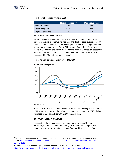<span id="page-10-0"></span>-

# **Fig. 4. Hotel occupancy rates, 2016**

|                     | Room occupancy | <b>Bed occupancy</b> |
|---------------------|----------------|----------------------|
| Northern Ireland    | 70%            | 54%                  |
| United Kingdom      | 61%            | 46%                  |
| Republic of Ireland | 72%            | 55%                  |

Sources: Fáilte Ireland, NISRA, VisitBritain

Growth has also been enabled by better access. According to NISRA, 69 percent of visitors to NI arrive via airplane, and this has been supported by an increase in direct routes which has subsequently enabled passenger numbers to have grown considerably. By 2015 NI airports offered direct flights to a record of 57 destinations worldwide.<sup>17</sup> With the additional routes, air passenger numbers grew by 1.3m from 2005 to 8.6m recorded from October 2016 to November 2017 (an 18.4 percent increase).

# Fig. 5. **Annual air passenger flows (2005=100)**



Annual Air Passenger Flow

In addition, there has also been a surge in cruise ships docking in NI's ports. In 2011 32 cruise ships brought 58,000 passengers to our ports by 2016 this had increased to 93 cruise ships with 152,000 passengers.<sup>[12](#page-9-0)</sup>

#### **2.3 ROOM FOR IMPROVEMENT**

<span id="page-10-1"></span>Yet growth in the tourism sector has been from a low base. On many measures, the region is underperforming. In 2016 less than 30 percent of external visitors to Northern Ireland came from outside the UK and ROI.<sup>18</sup>

<sup>17</sup> Tourism Northern Ireland, *Access into Northern Ireland: Summer 2015* (Belfast: Tourism Northern Ireland, 2015). [https://tourismni.com/globalassets/facts-and-figures/research-reports/access-into-ni/air--sea-access-ni](https://tourismni.com/globalassets/facts-and-figures/research-reports/access-into-ni/air--sea-access-ni-summer-2015.pdf)[summer-2015.pdf](https://tourismni.com/globalassets/facts-and-figures/research-reports/access-into-ni/air--sea-access-ni-summer-2015.pdf)

<sup>18</sup> NISRA, *External Overnight Trips to Northern Ireland 2016* (Belfast: NISRA, 2017). <https://www.nisra.gov.uk/publications/external-overnight-trips-northern-ireland-publications>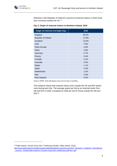

1

Whereas in the Republic of Ireland 51 percent of external visitors in 2016 came from countries outside the UK.<sup>19</sup>

|  |  |  |  |  |  | Fig. 6. Origin of external visitors to Northern Ireland, 2016 |  |  |
|--|--|--|--|--|--|---------------------------------------------------------------|--|--|
|--|--|--|--|--|--|---------------------------------------------------------------|--|--|

| Origin of external overnight trips | 2016  |
|------------------------------------|-------|
| England                            | 39.4% |
| Republic of Ireland                | 17.6% |
| Scotland                           | 12.6% |
| <b>USA</b>                         | 7.6%  |
| <b>Other Europe</b>                | 4.9%  |
| Other                              | 2.9%  |
| Germany                            | 2.7%  |
| France                             | 2.4%  |
| Canada                             | 2.1%  |
| Australia                          | 2.0%  |
| Wales                              | 1.7%  |
| Spain                              | 1.6%  |
| Netherlands                        | 1.2%  |
| Italy                              | 1.0%  |
| New Zealand                        | 0.4%  |

Source: NISRA. Note that figures may not sum due to rounding.

The evidence shows that external visitors from outside the UK and ROI spend more during each trip. The average spend per trip by an external visitor from GB and ROI is £209, compared to £306 per trip for those outside the GB and ROI.[18](#page-10-1)

<sup>19</sup> Fáilte Ireland, *Tourism Facts 2017: Preliminary* (Dublin: Fáilte Ireland, 2018).

[http://www.failteireland.ie/FailteIreland/media/WebsiteStructure/Documents/3\\_Research\\_Insights/5\\_International](http://www.failteireland.ie/FailteIreland/media/WebsiteStructure/Documents/3_Research_Insights/5_International_Tourism_Trends/Failte-Ireland-s-Tourism-Facts-2017-preliminary.pdf?ext=.pdf) [\\_Tourism\\_Trends/Failte-Ireland-s-Tourism-Facts-2017-preliminary.pdf?ext=.pdf](http://www.failteireland.ie/FailteIreland/media/WebsiteStructure/Documents/3_Research_Insights/5_International_Tourism_Trends/Failte-Ireland-s-Tourism-Facts-2017-preliminary.pdf?ext=.pdf)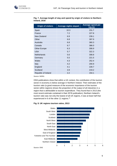

| <b>Origin of visitors</b> | <b>Average nights stayed</b> | Average spend per<br>trip $(f)$ |
|---------------------------|------------------------------|---------------------------------|
| Spain                     | 10.3                         | 231.7                           |
| France                    | 7.2                          | 227.8                           |
| New Zealand               | 6.9                          | 239.1                           |
| Other                     | 6.8                          | 397.9                           |
| Australia                 | 6.8                          | 360.3                           |
| Canada                    | 6.7                          | 386.0                           |
| <b>Other Europe</b>       | 6.3                          | 308.9                           |
| <b>USA</b>                | 5.7                          | 322.3                           |
| <b>Netherlands</b>        | 5.6                          | 308.8                           |
| Germany                   | 5.5                          | 221.5                           |
| Wales                     | 4.3                          | 252.4                           |
| <b>Italy</b>              | 4.2                          | 200.9                           |
| England                   | 4.1                          | 228.7                           |
| Scotland                  | 3.9                          | 219.2                           |
| Republic of Ireland       | 2.2                          | 154.1                           |

**Fig. 7. Average length of stay and spend by origin of visitors to Northern Ireland, 2016**

Source: NISRA

ONS publications show that within a UK context, the contribution of the tourism sector in economy is below average in Northern Ireland. Their estimates of the tourism ratio (a good measure of the economic importance of the tourism sector within regions) shows the proportion of the output of all industries in a region that is attributable to tourism expenditure. They found that in 2013 (the most recent estimate contained in their 2016 publication), Northern Ireland's tourism ratio was not only the lowest of all UK regions, it was at least half that experienced in 6 of the other 11 regions.[15](#page-9-1)

#### **Fig. 8. UK regions tourism ratios, 2013**

<span id="page-12-0"></span>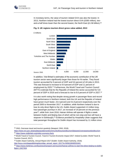

In monetary terms, the value of tourism related GVA was also the lowest. In 2013, Northern Ireland had the lowest tourism direct GVA (£595 million), twoand-a-half times lower than the second lowest, the North East (£1.58 billion).<sup>20</sup>

<span id="page-13-2"></span>

<span id="page-13-0"></span>**Fig. 9. UK regions tourism direct gross value added, 2013**

In addition, Visit Britain's estimates of the economic contribution of the UK tourism sector were significantly larger than those for NI earlier. They found tourism accounted for 9 percent of GDP and 9.6 percent of UK jobs in 2013. This was forecast to increase to 9.9 percent of GDP and 11 percent of employment by 2025.<sup>21</sup> Furthermore, the World Travel and Tourism Council (WTTC) estimate that for the Republic of Ireland the sector accounted for 5.8 percent of GDP in 2016 and is forecast to rise to 6.6 percent of GDP in 2027.<sup>22</sup>

<span id="page-13-1"></span>It is also worth noting that despite strong growth in passenger flows and record high performance in Northern Ireland, both the UK and the Republic of Ireland have grown much faster, 23.4 percent and 31.8 percent respectively over the period 2005 to November 2017. In addition, while Northern Ireland is due to lose its only direct flight to the US, Dublin Airport supported 4.3 million longhaul passenger journeys in 2017, an increase of 19 percent on the previous year<sup>23</sup>, while from June 2018, Hainan Airlines will operate 4 flights a week between Dublin and Beijing (two of which will be non-stop and two will have a stopover in Edinburgh).<sup>24</sup> Evidence provided by Hospitality Ulster suggests that total passenger throughput for Dublin Airport has increased by 11 million since

-

<sup>20</sup> ONS, *Overseas travel and tourism quarterly* (Newport: ONS, 2018).

<https://www.ons.gov.uk/peoplepopulationandcommunity/leisureandtourism/datasets/overseastravelandtourism> <sup>21</sup> <https://www.visitbritain.org/visitor-economy-facts>

<sup>22</sup> World Travel & Tourism Council, *Travel & Tourism Economic Impact 2017: Ireland* (London: World Travel & Tourism Council, 2017).

<sup>23</sup> Dublin Airport Authority, *Annual Report 2017* (Dublin: Dublin Airport Authority, 2018). [http://issuu.com/daapublishing/docs/daa\\_annual\\_report\\_2017?e=5056106/60531841](http://issuu.com/daapublishing/docs/daa_annual_report_2017?e=5056106/60531841)

<sup>&</sup>lt;sup>24</sup> [https://www.irishtimes.com/business/transport-and-tourism/hainan-airlines-to-start-first-direct-beijing-to-dublin](https://www.irishtimes.com/business/transport-and-tourism/hainan-airlines-to-start-first-direct-beijing-to-dublin-flight-1.3427454)[flight-1.3427454](https://www.irishtimes.com/business/transport-and-tourism/hainan-airlines-to-start-first-direct-beijing-to-dublin-flight-1.3427454)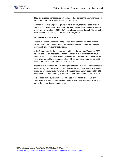2010, an increase almost seven times larger than across the equivalent period for the three airports in NI collectively (1.6 million).

Furthermore, while air passenger flows have grown, there has been a fall in tourist activity at NI's ports and there has been a steady decline in the number of non-freight vehicles. In 1999, 657,755 vehicles passed through NI's ports, by 2016 this had declined by almost a third to 458,664 <sup>25</sup>.

# <span id="page-14-0"></span>**2.4 OUTLOOK AND RISKS**

Despite the sector underperforming, it has been identified as a key growth sector for Northern Ireland, and for its local economies. It therefore features prominently in development strategies.

In the Department for the economy's draft industrial strategy "Economy 2030 vision"[2](#page-7-4) , there is an aspiration to reach £1 billion in external visitor revenue spend by 2025. To achieve this ambitious target growth per annum in external visitor revenue will have to increase from 4.9 percent per annum during 2005- 2016 to 5.6 percent per annum in 2016-2025.[15](#page-9-1)

Another aim of the draft tourism strategy is to reach £1 billion in total (domestic and external) visitor revenue by 2020. This target should be easier to attain as it requires growth in visitor revenue of 4.1 percent per annum during 2016-2020 and growth has been running at 5.0 percent per annum during 2005-2016. [15](#page-9-1)

NI's councils have built in national strategies to their local plans. Six of NI's councils have a tourism strategy and the other five have made tourism a major part of their local development plans.

-

<sup>25</sup> NISRA, *Northern Ireland Ports Traffic 2016* (Belfast: NISRA, 2017). <https://www.nisra.gov.uk/sites/nisra.gov.uk/files/publications/ports-2016-publication.pdf>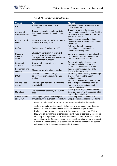

| <b>Council</b>                 | Aim                                                                                                                                     | <b>Method</b>                                                                                                                                   |
|--------------------------------|-----------------------------------------------------------------------------------------------------------------------------------------|-------------------------------------------------------------------------------------------------------------------------------------------------|
| <b>ABC</b>                     | 10% annual growth in tourism<br>economy                                                                                                 | Targeting mature cosmopolitans and<br>culturally curious                                                                                        |
| Antrim and<br>Newtownabbey     | Tourism is one of the eight points in<br>the council's economic development<br>report                                                   | One of the aims of the plan is<br>marketing the council's leisure facilities<br>for tourists in the council and also for<br>tourists in Belfast |
| Ards and North<br>Down         | Increase share of NI tourism economy<br>from 6% to 10% by 2030                                                                          | Increase awareness of a unique<br>destination and lengthen visits made to<br>the council                                                        |
| <b>Belfast</b>                 | Double value of tourism by 2020                                                                                                         | Achieved through managing<br>reputation, building capacity and<br>developing the city's offer                                                   |
| Causeway<br>Coast and<br>Glens | 3% growth per annum in overnight<br>spend, 3% growth per annum in<br>overnight visitor spend and 2% annual<br>growth in visitor numbers | Working on gaps in the market such as<br>lack of luxury accommodation and<br>market failures sure as transport                                  |
| Derry and<br>Strabane          | Tourism will be one of the economy's<br>key drivers                                                                                     | Secure international recognition -<br>European capital of culture and<br>UNESCO creative cities network                                         |
| Fermanagh and<br>Omagh         | 5% annual growth in tourism value                                                                                                       | Increase marketing and visibility.<br>Develop the tourism product.                                                                              |
| <b>LCCC</b>                    | One of the Council's strategic<br>objectives is promoting sustainable<br>tourism                                                        | Promoting and marketing Hillsborough<br>Castle. Promoting the Lagan<br>navigation area.                                                         |
| Mid and East<br>Antrim         | Developing tourism to help sustainable<br>growth in NI                                                                                  | Ensure our significant tourism assets<br>are developed, packaged and well<br>marketed to local, national and<br>international visitors.         |
| <b>Mid Ulster</b>              | Grow the visitor economy to £50m by<br>2021                                                                                             | Develop 3 our key tourist attractions<br>Seamus Heaney, archaeological sites<br>and outdoor activities                                          |
| Newry, Mourne<br>and Down      | Assisting NI's goal of achieving 6%<br>annual growth in overnight expenditure                                                           | Delivering "EPIC" moments with<br>unique cultural and historical offering                                                                       |

# **Fig. 10. NI councils' tourism strategies**

Source: Information taken from each council's tourism strategy or local development plan

Northern Ireland's tourism industry is forecast to grow steadily over the next decade. Tourism Ireland forecasts show that NI visitor nights from all destinations are expected to grow by 2.8 percent per annum from 2018 to 2028, with all key markets experiencing growth rates of between 2 percent for the US up to 7.5 percent for Australia. Revenue to NI from external visitors is forecast to grow by 5.3 percent over the period. Growth in revenue is forecast in all key markets with the US experiencing the slowest growth of 3.4 percent and Australia the fastest at an estimated 9.4 percent.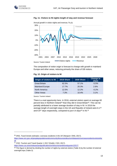



#### **Fig. 11. Visitors to NI nights length of stay and revenue forecast**

The composition of visitor origin is forecast to change with growth in mainland Europe and other areas, reducing primarily the share of GB visitors.

## **Fig. 12. Origin of visitors to NI**

| Origin of visitors to NI | <b>2018 Share</b> | <b>2030 Share</b> | <b>Change in</b><br>share |
|--------------------------|-------------------|-------------------|---------------------------|
| <b>Great Britain</b>     | 62.5%             | 57.1%             | $-5.5%$                   |
| <b>Mainland Europe</b>   | 17.7%             | 20.3%             | 2.6%                      |
| North America            | 12.5%             | 12.2%             | $-0.2%$                   |
| <b>Other Areas</b>       | 7.3%              | 10.4%             | 3.1%                      |

Source: Tourism Ireland

There is a real opportunity here. In 2016, external visitors spent on average 60 percent less in Northern Ireland<sup>[18](#page-10-1)</sup> than they did in Great Britain<sup>[20](#page-13-0)</sup>. This can be partially attributed to a lower average duration of stay in NI. In 2016 the average length of overnight stays in the UK and Republic of Ireland were 6.1<sup>26</sup> and 6.9<sup>27</sup> days respectively, compared to just 4.4 days<sup>28</sup> in NI.<sup>[18](#page-10-1)</sup>

-

<https://www.cso.ie/en/releasesandpublications/er/tt/tourismandtravelquarter12017/>

<sup>28</sup> This figure is derived by dividing the number of nights by external visitors (Table 4) by the number of external overnight trips (Table 3).

<sup>26</sup> ONS, *Travel trends estimates: overseas residents in the UK* (Newport: ONS, 2017).

[https://www.ons.gov.uk/peoplepopulationandcommunity/leisureandtourism/datasets/overseasresidentsvisitstothe](https://www.ons.gov.uk/peoplepopulationandcommunity/leisureandtourism/datasets/overseasresidentsvisitstotheuk) [uk](https://www.ons.gov.uk/peoplepopulationandcommunity/leisureandtourism/datasets/overseasresidentsvisitstotheuk)

<sup>&</sup>lt;sup>27</sup> CSO, Tourism and Travel Quarter 1 2017 (Dublin: CSO, 2017).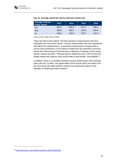

| <b>Average external</b><br>visitor spend | 2013  | 2014  | 2015  | 2016  |
|------------------------------------------|-------|-------|-------|-------|
| UK                                       | 650.2 | 635.6 | 611.2 | 599.4 |
| ROI                                      | 385.8 | 392.5 | 425.0 | 503.6 |
| ΝI                                       | 250.6 | 232.9 | 236.7 | 237.0 |

# **Fig. 13. Average spend per trip by overseas visitors (£)**

Sources: ONS, Fáilte Ireland, NISRA

There are risks to the outlook. The UK's decision to leave the EU will have implications for the tourism sector. Tourism Ireland states that *"any impediment that affects the seamlessness, or perceived seamlessness of being able to access both jurisdictions on the island of Ireland has the potential to seriously impact the achievement of the Executive's objective of creating a £1bn export tourism industry by 2025."*<sup>4</sup> Michael Barnier stated this year a UK exit from the single market and customs union would make a hard border "unavoidable"<sup>29</sup> .

In addition, there is a correlation between tourism performance and exchange rates (see [Fig. 14](#page-21-1) later). Any appreciation of the pound (which we expect over the short term) will make Northern Ireland more expensive relative to the Republic of Ireland and other locations.

-

<sup>29</sup> <http://www.bbc.co.uk/news/uk-northern-ireland-43001845>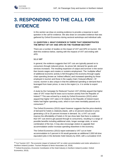

-

# <span id="page-18-0"></span>**3. RESPONDING TO THE CALL FOR EVIDENCE**

In this section we draw on existing evidence to provide a response to each question in the call for evidence. We also draw on consultee evidence that was gathered by Oxford Economics during sectoral workshops and individual calls.

# <span id="page-18-1"></span>**3.1 QUESTION 1: WHAT EVIDENCE IS THERE THAT DEMONSTRATES THE IMPACT OF VAT AND APD ON THE TOURISM SECTOR?**

There are a number of studies on the impact of VAT and APD on tourism. We distil this evidence below, starting with the impacts of VAT and ending with APD.

# **3.1.1 VAT**

In general, the evidence suggests that VAT cuts are typically passed on to consumers through reduced prices. As prices fall, demand for goods and services increases. The resulting expansion of output and turnover in the sector then boosts wages and creates or sustains employment. The 'multiplier effect' of additional economic activity is felt throughout the economy through supply chain spending (known as 'indirect effects') and increased spending by those employed in tourism and those in the supply chain ('induced effects'). Of course, tourism is also unique in that the additional spending or demand that is leveraged from lower prices, is new to the region (i.e. it is similar to export sales).

A study by the Campaign for Reduced Tourism VAT (2018a) argued that higher rates of VAT mean that NI loses out to tourism activity from the Republic of Ireland.<sup>30</sup> This was echoed by a study by Oxford Economics (2013) which argued that higher VAT rates in NI relative to the Republic of Ireland meant hotels had higher operating costs, which in turn were inevitably passed on to consumers.<sup>31</sup>

The Oxford Economics (2013) report however suggests that the price elasticity of demand for hotels is relatively elastic, with a 10 percent reduction in price generating a 20 to 25 percent increase in demand. So, a VAT cut could improve the affordability of hotels in NI (we show later that there is evidence that VAT cuts tend to get passed through to consumers), resulting in a range of possible benefits including additional visits, longer average visits, or some combination of the two. It may also encourage visitors to upgrade their accommodation and/or increase spending elsewhere in the economy.

The Oxford Economics (2013) report estimated a VAT cut on hotel accommodation to 5 percent in NI would generate an additional 2,000 full-time equivalent jobs in the domestic hotel industry by 2020, with a cumulative GVA

<sup>30</sup> Cut Tourism VAT, *The economic impact of reduced VAT on visitor accommodation and visitor attractions in Northern Ireland* (London: Tourism Respect & Nevin Associates Ltd, 2018).

<sup>&</sup>lt;sup>31</sup> Oxford Economics, *Economic Contribution of the Hotel Industry in Northern Ireland* (London: Oxford Economics, 2013).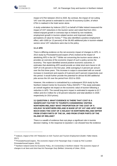

1

impact of £75m between 2013 to 2020. By contrast, the impact of not cutting VAT over this period is estimated to cost the NI economy £128m, of which £75m is realised in the hotel sector alone.

A study undertaken by Indecon (2017) on behalf of Fáilte Ireland measured the impact of VAT reductions in the tourism sector and noted that from 2011 Ireland enjoyed growth in overseas trips to Ireland by non-residents, employment growth in tourism-related sectors and improved visitors' perceptions of value for money.<sup>32</sup> They also identified a positive employment effect, with 4,800 (or 13 percent) of the 38,400 additional jobs in tourism-related sectors since VAT reductions were due to the policy.

# **3.1.2 APD**

There is differing evidence on the net economic impact of changes to APD. A 2013 study by PricewaterhouseCoopers (PwC) looked at the impact of abolishing APD in the UK.<sup>33</sup> While not concerning the tourism sector alone, it provides an overview of the economic impact of such a policy across the economy. The report identified several positive economic outcomes. It estimates that abolishing APD would provide an initial short-term boost in UK GDP of 0.45 percent in the first year, while averaging 0.3 percent per annum over the first three years. This increase in output is associated with an overall increase in investment and exports of 6 percent and 5 percent respectively over this period. It would further provide the potential for almost 60,000 additional jobs across the UK over the period from 2013 to 2020.

However, this evidence is contradicted by a subsequent 2014 study by the Northern Ireland Centre for Economic Policy (NICEP). <sup>34</sup> This study estimates an overall negative net impact on the economic value of tourism following a reduction in APD. The overall long-term impact is estimated to equate to £2.7 million and £5.4 million for a 50 percent reduction and total abolition in 2026 respectively (in 2014 prices).

<span id="page-19-0"></span>**3.2 QUESTION 2: WHAT EVIDENCE IS THERE THAT COST IS A SIGNIFICANT FACTOR TO TOURISTS CONSIDERING VISITING NORTHERN IRELAND? WHAT PROPORTION OF THE COST OF A HOLIDAY IN NORTHERN IRELAND IS MADE UP OF VAT AND APD? HOW MUCH DOES THE COST OF A HOLIDAY IN NORTHERN IRELAND DIFFER FROM OTHER PARTS OF THE UK, AND FROM OTHER PARTS OF THE ISLAND OF IRELAND?**

There is a wealth of evidence that cost plays a significant role in tourists decision making. In the response to Question 1 we showed how the evidence

<sup>&</sup>lt;sup>32</sup> Indecon, *Impact of the VAT Reduction on Irish Tourism and Tourism Employment* (Dublin: Fáilte Ireland, 2017).

<sup>33</sup> PricewaterhouseCoopers, *The economic impact of Air Passenger Duty: A study by PwC* (London: PricewaterhouseCoopers, 2013).

<sup>34</sup> Northern Ireland Centre for Economic Policy, *Air Connectivity in Northern Ireland: The economic impact of changes to air fares and short-haul Air Passenger Duty* (Belfast: University of Ulster, 2014).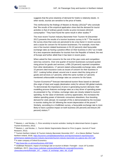

suggests that the price elasticity of demand for hotels is relatively elastic. In other words, tourists are sensitive to the price of hotels.

This reinforced by the findings of Masiero & Nicolau (2012a) <sup>35</sup> who conclude that *"the results of the empirical application show that the demand for tourist activities is that of ordinary goods insofar as price increases diminish consumption."* They have found the same result in other studies. 36

The most recent Tourism Industry Barometer from Tourism NI (December 2017) presents the results of a tourism business survey in NI.<sup>37</sup> The result of the survey show that costs are perceived to be a key factor in recent success and a cause for concern for NI tourism businesses. For example, more than one in five tourism related businesses in NI (22 percent) cited favourable exchange rates as having a positive effect on their business in 2017 as it made NI a less expensive destination for tourists from the Republic of Ireland, the rest of Europe and further afield than it has been in recent years.

When asked for their concerns for the rest of the year costs and competition were key concerns. Over one quarter of tourism businesses surveyed quoted rising prices for goods and services, a fifth (19 percent) reported competition from other destinations, 17 percent stated unfavourable exchange rates, whilst 15 percent cited insurance costs as issues of concern for their business in 2017. Looking further ahead, around one in seven cited the rising price of goods and services (17 percent), whilst the same number (17 percent) mentioned unfavourable exchange rates as concerns for the future.

Tourism Economics<sup>38</sup> forecast international tourism flows based on demand (the origin of trips) and supply (destination visits) for almost 190 global markets. To demonstrate the importance of price in generating tourism demand, their modelling process features exchange rates as a key driver of spending power. As presented in [Fig. 14](#page-21-1) below, exchange rates are closely related to tourism spending. As the value of domestic currency appreciates, this increases the relative spending power of domestic consumers elsewhere, thus boosting demand for visits abroad. An example of this is demonstrated by the increase in tourists visiting the UK following the recent depreciation of the pound.<sup>39</sup> Similarly, according to a VisitBritain survey, a favourable exchange rate is more likely to have a positive impact on both business (55 percent) and leisure (40 percent) visitors.<sup>40</sup>

-

<sup>35</sup> Masiero, L. and Nicolau, J., *Price sensitivity to tourism activities: looking for determinant factors* (Lugano: Tourism Economics, 2012).

<sup>36</sup> Masiero, L. and Nicolau, J., *Tourism Market Segmentation Based on Price* (Lugano: Journal of Travel Research, 2012).

<sup>37</sup> Tourism Northern Ireland, *NI Tourism Industry Barometer December 2017 – At a Glance* (Belfast: Tourism Northern Ireland, 2018). [https://tourismni.com/globalassets/facts-and-figures/research-reports/tourism](https://tourismni.com/globalassets/facts-and-figures/research-reports/tourism-performance-statistics/tourism-industry-barometer/tourism-industry-barometer-at-a-glance-dec-2017.pdf)[performance-statistics/tourism-industry-barometer/tourism-industry-barometer-at-a-glance-dec-2017.pdf](https://tourismni.com/globalassets/facts-and-figures/research-reports/tourism-performance-statistics/tourism-industry-barometer/tourism-industry-barometer-at-a-glance-dec-2017.pdf)

<sup>38</sup> A sister company of Oxford Economics.

<sup>39</sup> <http://www.bbc.co.uk/news/business-40972840>

<sup>40</sup> VisitBritain Research, *Impact of exchange rate on tourism to Britain: Foresight – issue 147* (London: VisitBritain, 2017)[. https://www.visitbritain.org/sites/default/files/vb-corporate/Documents-](https://www.visitbritain.org/sites/default/files/vb-corporate/Documents-Library/documents/foresight_147_-_impact_of_exchange_rates_nbi_v2.pdf)[Library/documents/foresight\\_147\\_-\\_impact\\_of\\_exchange\\_rates\\_nbi\\_v2.pdf](https://www.visitbritain.org/sites/default/files/vb-corporate/Documents-Library/documents/foresight_147_-_impact_of_exchange_rates_nbi_v2.pdf)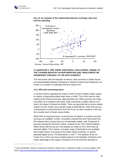<span id="page-21-1"></span>

-





# <span id="page-21-0"></span>**3.3 QUESTION 3: ARE THERE ADDITIONAL CHALLENGES, UNIQUE TO THE TOURISM INDUSTRY IN NORTHERN IRELAND, WHICH MIGHT BE ADDRESSED THROUGH VAT OR APD CHANGES?**

The land border with the Republic of Ireland, close proximity to Dublin Airport and substitutability between holidaying in Southern Ireland and holidaying in NI results in a number of challenges that are unique to NI.

#### **3.3.1 APD and connecting travel**

A common theme regarding the impact of APD is that it enables Dublin Airport to capture a disproportionately large share of traffic. This is the case for both outbound and inbound journeys; approximately one million journeys are made via Dublin by NI residents each year, while conversely a million visitors to NI land in the island of Ireland via Dublin. There are generally felt to be two related reasons for this: Dublin has a greater range of destinations, while APD acts as a disincentive to travel directly to and from NI (or via other locations in the UK). We consider each of these causes below.

While APD on long-haul travel is exempt from NI airports, in practice very few journeys are available. Further, consultees indicate that short haul travel from NI's airports have a heavy focus on the domestic market, with 75 percent of journeys serving the domestic market. Analysis by the Irish Central Statistics Office shows that the top ten most popular air routes to NI in 2014 were all domestic flights.<sup>41</sup> By contrast, a broader range of destinations are available from Dublin Airport; according to the Dublin Airport Authority, 41 airlines operated flights across 176 destinations in 2017.<sup>[23](#page-13-1)</sup> The abolition of the Air Travel Tax in 2014 may have enabled airports in the Republic of Ireland a firstmover advantage in this regard. Residents of NI are therefore attracted to

<sup>&</sup>lt;sup>41</sup> CSO and NISRA, *Visitors to Ireland and Northern Ireland 2014: A Statistical Profile of Tourism (Dublin: CSO,* 2016).<http://cso.ie/en/media/csoie/releasespublications/documents/tourismtravel/2014/Northsouth2014.pdf>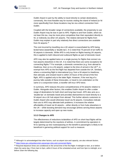

Dublin Airport in part by the ability to travel directly to certain destinations; conversely, the most feasible way for tourists visiting the island of Ireland (or NI more specifically) from these locations may be via a direct connection from Dublin.

Coupled with the broader range of connections available, the propensity to use Dublin Airport may be due in part to APD. Flights to and from Dublin, which do not bear this tax, may be more price competitive than their equivalent directly to NI, or indirectly via other UK airports. The relative demand for flights from Dublin may explain in part why relatively few direct connections are available from NI airports.<sup>42</sup>

The cost incurred by travelling via a UK airport is exacerbated by APD being levied twice (essentially a 'double tax'). It is noted that 75 percent of air traffic to NI airports is domestic. While APD is only levied on flights leaving UK airports, this is applied to both inbound and outbound flights as part of domestic travel.

APD may also be applied twice on a single journey for flights that connect via hub airports elsewhere in the UK. It is noted that there are some exceptions for connecting flights.<sup>43</sup> For example, a domestic connection (e.g. from abroad to Heathrow, then on to a NI airport), subject to the time of arrival in the UK<sup>44</sup>, is exempt from APD as the first flight has departed from outside the UK. Similarly, where a connecting flight is international (e.g. from a NI airport to Heathrow, then abroad), and onward travel is within 24 hours of the arrival of the first flight, APD is applied only to the latter flight. However, if the next leg of a journey falls outside of these timescales, or travel is not undertaken on the same or a conjunction ticket, a traveller will incur APD twice.

In summary, APD reduces the price competitiveness of NI airports relative to Dublin. Alongside other factors, this enables Dublin Airport to offer a wider range of destinations for both short and long-haul travel. APD also acts as a 'double-tax' on domestic travel and provides disincentive to travel directly to a NI airport via a UK hub airport from abroad. This further attracts customers to Dublin Airport who would otherwise travel via NI airports. Consultees indicate that cuts to APD may alleviate both problems; it increases the relative affordability of travel via NI airports – either directly or from hubs elsewhere in the UK – while boosting demand may encourage airlines serving these airports to increase capacity and open up new routes.

#### **3.3.2 Changes to APD**

-

The effectiveness of reductions to/abolition of APD on short-haul flights will be largely determined by the reactions of airlines. A commitment by operators in NI to opening up new routes/passing on the benefit to passengers is likely to be beneficial in garnering political support for such a measure.

<sup>&</sup>lt;sup>42</sup> Although it is acknowledged that other factors, such as airport size and capacity, are also relevant factors. <sup>43</sup> <https://www.gov.uk/guidance/air-passenger-duty-and-connected-flights>

<sup>44</sup> Required departure times are conditional on the arrival time of the first flight: if midnight to 4am, at or before 10am the same day; if from 4am to 5pm, within 6 hours of the scheduled arrival; and from 5pm to midnight, at or before 10am the following day.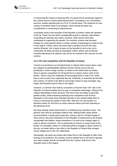

In measuring the impact of reducing APD, the government should pay regard to the cyclical nature of airline planning decisions. According to our consultation exercise, airlines typically plan on a 9 to 12-month basis. The response to such a policy is therefore likely to be delayed, which should be taken into consideration in monitoring its effectiveness.

Consultees point to the example of the Republic of Ireland, where the abolition of the Air Travel Tax has led to considerable growth in capacity, with airlines responding by opening new routes. However, other factors have also contributed to supporting this growth. An incentive scheme that removes charges for using airports above a certain number of passengers is cited as key in this regard. Further, there may have been a political onus for the main carriers (Ryanair, Aer Lingus) to pass on the benefits of such a tax cut to consumers; NI does not have an equivalent 'native' airline, and so airlines currently operating at its airports may not be as invested in the success of such a policy.

# **3.3.3 VAT and competition with the Republic of Ireland**

Tourism is promoted on an all-island basis in Ireland which means there could be a degree of substitutability between tourism activity across the two jurisdictions. Given a large number of visitors to the Island land via Dublin, there is intense competition for NI based firms to attract visitors north of the border. There is also the challenge of encouraging them to stay in NI, rather than to visit as part of an organised day trip. Intuitively, to maximise the benefits from visitors, NI needs to be able to encourage visitors to stay overnight, stay longer and therefore spend more in the region.

However, a common view held by consultees is that the lower VAT rate in the Republic of Ireland enables firms to gain a competitive advantage. Owing to the relative affordability of their services, Irish firms have the ability to generate greater profits, while remaining relatively price competitive with NI firms. Operators in the sector have indicates that this in turn would enable them to invest in improving the quality of their offer. With less of a tax burden it is therefore easier for Irish firms to retain external visitors and their spending to the detriment of NI.

We have already shown that tourism is a relatively price sensitive sector. The general view held by consultees reflects that, holding Dublin aside (where accommodation is particularly expensive, owing in part to a limited supply of hotel rooms), the prices elsewhere in the Republic of Ireland tend to be broadly comparable with Belfast. Hotels elsewhere in NI tend to be cheaper again in order to attract customers. This is particularly of concern in areas close to the border; for examples, hotels in Londonderry/Derry struggle to attract visitors to the city, as hotels within a few miles in the Republic of Ireland offer cheaper rooms, largely due to the VAT differential.

Anecdotally, the lower tax burden also helps firms in the Republic to offer more training to its workforce. By contrast, tourism-related firms in NI tend to operate at a lower margin, and do not benefit from the 'cushion' that firms in the Republic have in this regard.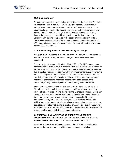

# **3.3.4 Changes to VAT**

Through our discussions with leading NI hoteliers and the NI Hotels Federation we understand that a reduction in VAT would be passed to the customer through lower prices. We have been informed that given the competition to secure bookings through international tour operators, the sector would have to pass the reduction on. However, this would be acceptable as it is widely thought that lower prices would lead to an increase in visitor numbers. Consequently, leading companies in the sector are willing to sign up to a charter where they would promise to pass a minimum share of a reduction in VAT through to customers, set aside the rest for refurbishment, and to create additional job opportunities.

#### **3.3.5 Alternative approaches to implementing tax changes**

Alongside a simple change to the rate at which VAT and/or APD are levied, a number of alternative approaches to changing these taxes have been suggested.

There may also be opportunities to trial both VAT and/or APD changes on a temporary basis, by building in a 'sunset clause' to this policy. This may reduce the risk of such a policy for the Treasury should the material benefits be lower than expected. Further, it in turn may offer an effective mechanism for ensuring the positive impacts of reductions to APD in particular are realised. With the knowledge that the benefits may be withdrawn, airlines may have a greater incentive to demonstrate that these benefits have been passed on to consumers, through reduced prices and the opening up of new routes.

It has been suggested that NI may be a suitable area to trial such a policy. Given its relatively small size, any changes to VAT would have limited impact on overall tax revenues, limiting the risk for the Exchequer. Further, as it is noncontiguous to the rest of the UK, the impact of the displacement of domestic firms from elsewhere may be relatively limited – especially if the tax amendment is only temporary. However, such a policy is unlikely to gain political support from relevant ministers in government should it require primary legislation. It is noted that, owing to existing pressures on Parliamentary time associated with Brexit-related Bills, ministers may not be willing to allocate time to such a policy, particularly if only temporary in nature.

# <span id="page-24-0"></span>**3.4 QUESTION 4: WHAT IMPACT DO CURRENT VAT RELIEFS, EXEMPTIONS AND REFUNDS HAVE ON THE TOURISM INDUSTRY IN NORTHERN IRELAND? ARE THEY A SIGNIFICANT BENEFIT?**

As set out in the call for evidence document, the UK VAT system includes several features which may benefit the tourism industry, including: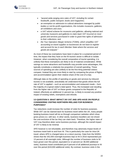

- *"several wide-ranging zero-rates of VAT, including for certain foodstuffs, public transport, books and magazines;*
- *an exemption on admission to cultural attractions managed by public bodies or not-for-profit organisations, this includes museums, galleries, art exhibitions and zoos;*
- *a VAT refund scheme for museums and galleries, allowing national and university museums and galleries to claim back VAT incurred on most goods and services purchased in order to grant free rights of admission to their collections;* and
- *the Tour Operators Margin Scheme (TOMS), which simplifies VAT accounting on travel supplies so businesses do not have to register and account for tax in each Member State where the services and goods are enjoyed."*

As most of these tax exemptions have been in place for a sustained period of time, the impact that they have on the NI tourism sector is difficult to isolate. However, when considering the overall composition of tourist spending, it is unlikely that these exemptions are likely to be of material consideration. While savings on some attractions and foodstuffs may provide some advantages, this typically constitutes a relatively low proportion of overall spending. These sources of spending are also unlikely to be the first thing potential visitors compare. Instead they are more likely to start by comparing the prices of flights and accommodation (given their relative share of the cost of a trip).

Although data on the profile of spending on goods and services by inbound tourists is not available, anecdotally we understand that goods where the full rate of VAT is applied – such as accommodation and restaurant meals – form the majority of a typical visitor's total spend. Thus, the increased cost resulting from the higher rate of VAT on these goods compared to the Republic of Ireland, effectively an additional 11 percent tax, is likely to exceed any positive impact of existing reliefs, exemptions and refunds.

# <span id="page-25-0"></span>**3.5 QUESTION 5: WHAT IMPACT DO VAT AND APD HAVE ON PEOPLE CONSIDERING VISITING NORTHERN IRELAND FOR BUSINESS PURPOSES?**

Tax reductions could increase the number of visits for business purposes. While VAT can be claimed back for business travel within the UK, many people booking business travel will do so through comparison websites which show gross prices (i.e. with tax). In other words, business travellers are not shown the cost exclusive of the tax they can claim back. Therefore, the higher rates of VAT may therefore deter some business journeys, although the overall impact of VAT is likely to be minimal.

APD however is not refundable, and therefore may adversely impact levels of business travel both to and from NI. This is particularly the case for intra-UK travel, where APD is charged twice on a return journey. Data from the NISRA shows that the 342,000 overnight business trips to NI in 2016 represented just 13 percent of all overnight visits. Although the number of business visits to NI have grown over this period, equivalent to 12 percent (or 38,000 additional visits), business travel contributed just 6 percent of all additional journeys to NI over this period (619,000 additional visits). By contrast, business visits in the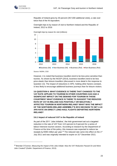

1

Republic of Ireland grew by 30 percent (357,000 additional visits), a rate over twice that of the NI equivalent.

Overnight trips to by reason of visit to Northern Ireland and the Republic of Ireland, 2012 to 2016



Overnight trips by reason for visit (millions)

However, it is noted that business travellers tend to be less price sensitive than tourists. As shown by the NICEP (2014), business travellers tend to be less price elastic than leisure travellers (discussed in more detail in the response to Question 13). The impact of reductions in APD, holding other factors constant, is less likely to encourage additional business journeys than for leisure visitors.

<span id="page-26-0"></span>**3.6 QUESTION 6: WHAT EVIDENCE IS THERE THAT CHANGES TO THE VAT RATE APPLIED TO TOURISM IN OTHER COUNTRIES HAS HAD A SIGNIFICANT IMPACT ON THE DEMAND FOR TOURISM IN THOSE COUNTRIES? WHAT EVIDENCE IS THERE TO SUGGEST THE REDUCED RATE OF VAT IN IRELAND HAS POSITIVELY OR NEGATIVELY AFFECTED TOURISM IN NORTHERN IRELAND? WHAT WAS THE IMPACT OF THE NORTHERN IRELAND ASSEMBLY'S 2012 DECISION TO SET A £0 APD RATE ON DIRECT LONG-HAUL FLIGHTS DEPARTING NORTHERN IRELAND?**

#### **3.6.1 Impact of reduced VAT in the Republic of Ireland**

As part of the 2011 'Jobs Initiative', the Irish government set out a targeted reduction in the rate of VAT from 13.5 percent to 9 percent for a series of labour-intensive tourism sectors. According to research by the Department of Finance at the time of the policy, this measure was expected to reduce tax receipts by €350 million per year.<sup>45</sup> The reduced rate came into effect on the 1<sup>st</sup> July 2011 and was originally intended to expire on 31<sup>st</sup> December 2013,

Source: NISRA, CSO

<sup>45</sup> Brendan O'Connor, *Measuring the Impact of the Jobs Initiate: Was the VAT Reduction Passed On and Were Jobs Created?* (Dublin: Department of Finance, 2013).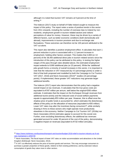

-

although it is noted that tourism VAT remains at 9 percent at the time of writing.<sup>46</sup>

The Indecon (2017) study on behalf of Fáilte Ireland sought to measure the impact of this policy. The report notes a series of positive trends in this sector from 2011 onwards, including the number of overseas trips to Ireland by nonresidents, employment growth in tourism-related sectors and visitors' perceptions of value for money. However, these may be driven by a variety of different factors, such as better economic conditions (both domestically and abroad), improvements in tourism provision and due to exchange rate fluctuations. These outcomes can therefore not be 100 percent attributed to the VAT cut alone.

This report also identifies a positive employment effect. It calculates that each 1 percent reduction in price is associated with a 1.2 percent increase in employment, holding other factors constant. This implies that 4,800 (or 13 percent) of the 38,400 additional direct jobs in tourism-related sectors since the introduction of this policy can be attributed to this policy. In testing the higher ranges of the pass-through rates detailed above, the estimated employment impact extends to 8,900 additional jobs (or 23 percent). While the 'additional' jobs growth forms a minority of overall increases in this sector, it is important to note that the reduction in VAT measured (by 4.5 percentage points) is under a third of that both proposed and modelled by both the Campaign to Cut Tourism VAT (2017, 2018) and Nevin Associates (2014)<sup>47</sup> studies (15 percentage points). If implemented, these greater VAT reductions may generate larger additional benefits.

The Indecon (2017) report also demonstrates that this policy had a negative overall impact on tax revenues. It calculates that the true gross costs are equivalent to €187 million per annum, well below the original €350 million estimate. It estimates that the impact on the Exchequer through revenues from additional tourist activity and the reduced costs of social welfare payments equate to approximately €53 million per year. However, this is offset once the shadow price of public funds is accounted for, which estimates the distortionary effects of the policy on the allocation of resources (equivalent to €55 million). Lower VAT rates may alter the incentives facing consumers $48$ , while similarly drawing in firms to these sectors who might operate more productively elsewhere in the economy. Neither Campaign to Cut Tourism VAT (2018a) nor Nevin Associates (2014) estimates appear to account for this social cost. Further, even excluding distortionary effects, the additional tax revenues generated account for under 30 percent of the cost of the policy, demonstrating a negative impact on revenues (equivalent to €132 million annually).

<sup>46</sup> [https://www.irishtimes.com/business/transport-and-tourism/budget-2018-relief-in-tourism-industry-as-9-vat](https://www.irishtimes.com/business/transport-and-tourism/budget-2018-relief-in-tourism-industry-as-9-vat-rate-maintained-1.3250739)[rate-maintained-1.3250739](https://www.irishtimes.com/business/transport-and-tourism/budget-2018-relief-in-tourism-industry-as-9-vat-rate-maintained-1.3250739)

<sup>&</sup>lt;sup>47</sup> Nevin Associates, The fiscal impact of lower VAT rates on visitor accommodation and attractions in the United Kingdom (Edinburgh: Nevin Associates, 2014).

<sup>48</sup> A VAT cut effectively reduces the price of tourism goods and services. This may encourage consumers to purchase a greater proportion of these goods, relative to their existing preference, and by extension reduce consumption of goods they value more in other sectors.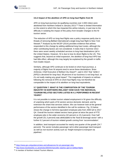

# **3.6.2 Impact of the abolition of APD on long-haul flights from NI**

APD on long-haul journeys (to qualifying countries over 2,000 miles) were abolished from Northern Ireland in January 2013.<sup>49</sup> There is limited information on the extent to which this has impacted the airline industry, in part due to the difficulty in isolating the impact of this policy from broader changes to the NI tourism sector.

The reduction of APD on long-haul flights was a policy response partly due to threats of removing Belfast International's single long-haul flight to New York Newark.<sup>50</sup> Analysis by the NICEP (2014) provides evidence that airlines responded to this change by adding additional long-haul routes, although the other contributing factors are not considered. It notes that in Summer 2013 there were seven weekly scheduled services to long-haul destinations (all in the United States). However, NI is due to lose its direct flights to the US. This suggests that, beyond an initial expansion, the abolition of long-haul APD has had little effect, although this may largely be explained by the growth in traffic from Dublin Airport.

Similarly, although APD continues to be levied on short-haul journeys, a majority of flights from NI airports tend to serve these destinations. Brian Ambrose, Chief Executive of Belfast City Airport<sup>51</sup>, said in 2017 that "while it *[APD] is devolved for long-haul, 99 percent of our business is not long-haul, so it's not really making any great impact"*. The magnitude of impacts on airlines following the removal of APD on short-haul flights may not therefore be comparable to the impact of its abolition on long-haul equivalents.

# <span id="page-28-0"></span>**3.7 QUESTION 7: WHAT IS THE COMPOSITION OF THE TOURISM INDUSTRY IN NORTHERN IRELAND? HOW HAVE THE INDIVIDUAL TOURISM RELATED SECTORS LISTED IN 4.1 PERFORMED IN RECENT YEARS?**

It is not possible to isolate tourism related employment in NI given the difficulty of unpicking which parts of NI sectors service domestic demand, and by extension the share that services visitors. We can however look at the general performance of the sectors identified in the call for evidence. [Fig. 15](#page-29-0) below shows the change in full-time equivalent employee jobs from 2000 Q4 to 2017 Q4. Overall the tourism related sectors have grown at twice the pace of FTE employee jobs in the wider economy (32 percent vs 15.4 percent). Over half the growth (51.3 percent) was attributable to the 'food & beverage sector' with a further 6.2 percent of tourism related growth coming from 'accommodation'.

In addition, land transport accounted for nearly one quarter of the growth (24.7 percent). The sector includes passenger rail & other passenger land transport as well as non-tourism activity such as 'freight transport & transport via pipelines'.

1

<sup>49</sup> <https://www.gov.uk/guidance/rates-and-allowances-for-air-passenger-duty>

<sup>50</sup> <http://www.travelweekly.co.uk/articles/38344/chancellor-slashes-apd-on-belfast-flights>

<sup>51</sup> A member of Northern Ireland Tourism Alliance.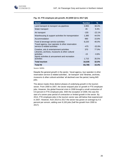<span id="page-29-0"></span>

| <b>Sector</b>                                                                    | <b>Number</b> | $\frac{9}{6}$ |
|----------------------------------------------------------------------------------|---------------|---------------|
| Land transport & transport via pipelines                                         | 3,955         | 38.4%         |
| Water transport                                                                  | 45            | 9.4%          |
| Air transport                                                                    | -155          | $-22.1%$      |
| Warehousing & support activities for transportation                              | 1,385         | 44.5%         |
| Accommodation                                                                    | 990           | 15.8%         |
| Food & beverage service activities                                               | 8,220         | 40.0%         |
| Travel agency, tour operator & other reservation<br>service & related activities | -475          | $-32.8%$      |
| Creative, arts & entertainment activities                                        | 370           | 77.9%         |
| Libraries, archives, museums & other cultural<br>activities                      | $-15$         | $-0.8%$       |
| Sports activities & amusement and recreation<br>activities                       | 1,715         | 35.5%         |
| <b>Total tourism</b>                                                             | 16,035        | 32.0%         |
| Total NI                                                                         | 83,785        | 15.4%         |

# **Fig. 15. FTE employee job growth, NI (2000 Q4 to 2017 Q4)**

Source: NISRA

Despite the general growth in the sector, 'travel agency, tour operator & other reservation service & related activities', 'air transport' and 'libraries, archives, museums & other cultural activities' all declined over the period, losing 645 jobs.

The above masks three distinct phases of underlying growth in the tourism sector. From 2000 to 2007, the sector enjoyed year on growth in FTE employee jobs. However, the global financial crisis in 2008 brought a small contraction of 0.9 percent in FTE employee jobs. With the exception of 2009, this was the start of a seven-year period of contraction or limited growth in the sector. By 2014, FTE employee jobs in the tourism sector was still below that experienced in 2007. However, from 2014 to 2017 the sector has grown on average by 4.5 percent per annum, adding over 8,100 jobs (half the growth from 2000 to 2017).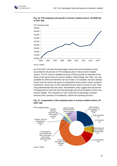



**Fig. 16. FTE employee job growth in tourism related sectors, NI (2000 Q4 to 2017 Q4)**

Source: NISRA

As of Q4 2017, the food and beverages sector and accommodation sector accounted for 54 percent of FTE employee jobs in these tourism related sectors. The NI Tourism Satellite Accounts (TSAs) provide an estimate of the share of the sectors that are tourism related. Unfortunately, the TSAs, are only available for 2004 and therefore are out of date. For example, we have already shown how the sector has grown in employment terms (and in visitor numbers, investment, choice etc), so the estimated tourism share of sectors in the TSAs may underestimate the true value. Nevertheless, they suggest that 38 percent of employment in both the food and beverage and accommodation sectors are tourism related. This compares to only 14 percent of passenger transport services and 2 percent of recreational, cultural and sporting services.



# **Fig. 17. Composition of the employee jobs in tourism related sectors, NI (2017 Q4)**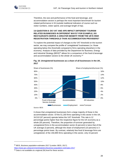

Therefore, the size and performance of the food and beverage, and accommodation sectors is perhaps the most important benchmark for tourism related performance in NI (outside traditional indicators of course such as visitor numbers, visitor spend, and average length of trip).

# <span id="page-31-0"></span>**3.8 QUESTION 8: DO VAT AND APD IMPACT DIFFERENT TOURISM RELATED BUSINESSES IN DIFFERENT WAYS? FOR EXAMPLE, DO RESTAURANTS DERIVE A GREATER BENEFIT FROM THE UK'S HIGH REGISTRATION THRESHOLD THAN ACCOMMODATION PROVIDERS?**

To explore the potential impact of changes to the VAT threshold on the tourism sector, we may compare the profile of 'unregistered' businesses (i.e. those operating below this threshold) compared to firms operating elsewhere in the economy. Analysis of data provided by the Department for Business, Energy and Industrial Strategy (BEIS)<sup>52</sup> allows for a comparison of the food & beverage and accommodation sectors to the whole UK economy.<sup>53</sup>



# **Fig. 18. Unregistered businesses as a share of all businesses in the UK, 2017**

Source: BEIS

It shows that unregistered businesses form a large majority of those in the accommodation sector. Of the 51,160 firms operating in this sector in the UK, 34,510 (67 percent) operate below the VAT threshold. This rate is 12 percentage points higher than the respective figure for the UK economy as a whole (55 percent). Therefore, the proportion of turnover generated by unregistered firms in the accommodation sector (6 percent) is twice that of the UK average (3 percent), although the share of employment (10 percent) is 3 percentage points lower. By contrast, relatively few food & beverage firms are unregistered; of the 150,895 firms operating in this sector, only 15 percent

1

<sup>52</sup> BEIS, *Business population estimates 2017* (London: BEIS, 2017). <https://www.gov.uk/government/statistics/business-population-estimates-2017>

<sup>53</sup> Data is not available at a regional (NI) level for these sectors.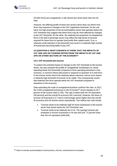

-

(22,855 firms) are unregistered, a rate almost four-times lower than the UK total.

However, the differing profile of these two sectors alone does not inform how firms may respond to changes in the VAT registration threshold. On the one hand, the high proportion of the accommodation sector that operates below the VAT threshold may suggest that these firms may be more affected by changes to the VAT threshold. On the other, the relatively low proportion of unregistered firms in the food & beverage sector may reflect the high levels of turnover required for these firms to operate (and justify their capital costs). If so, a relatively small reduction in the threshold may result in a relatively high number of businesses becoming liable to pay VAT.

# <span id="page-32-0"></span>**3.9 QUESTION 9: WHAT EVIDENCE IS THERE THAT THE IMPACTS OF VAT AND APD ON TOURISM DIFFER FROM THE IMPACTS OF VAT AND APD ON OTHER SECTORS OF THE ECONOMY?**

#### **3.9.1 VAT threshold and tourism**

To explore the potential impact of changes to the VAT threshold on the tourism sector, we may compare the profile of 'unregistered' businesses (i.e. those operating below this threshold) compared to firms operating elsewhere in the economy. A common theme (discussed in response to Question 3) is that firms in the tourism sector tend to be relatively labour-intensive, and as such require a relatively high threshold of turnover to be viable. This consequently means that relatively few firms operate below the VAT threshold compared to elsewhere in the economy.

Data estimating the scale of unregistered business confirms this view. In 2017, the 3,455 unregistered businesses in the NI tourism<sup>54</sup> sector equates to 44.7 percent of the tourism total (7,730). This rate is below both the UK-equivalent (55 percent) and the overall NI economy (49.1 percent). However, the share of turnover (6.9 percent) is 2.7 and 2.4 percentage points higher than the overall NI economy and UK tourism sector equivalently. This reflects two main trends:

- Turnover tends to be relatively high for those businesses in the tourism sector that remain below the VAT threshold; and
- Turnover tends to be relatively low in NI. The average turnover per employee in tourism businesses in NI was £40,100, 71 percent lower than the UK equivalent (£68,300).

<sup>54</sup> Taken to include accommodation & food services, and arts, entertainment & recreation.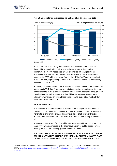<span id="page-33-0"></span>1



**Fig. 19. Unregistered businesses as a share of all businesses, 2017**

A fall in the rate of VAT may reduce the disincentives for firms below the threshold to expand, which will in turn reduce the size of the 'shadow economy'. The Nevin Associates (2014) study cites an example in France which estimates that VAT reductions have reduced the size of the shadow economy by €720 million per year. Across the UK the 'VAT gap' was estimated to be £12 billion, representing 9 percent of the total tax that could theoretically

be levied, in 2016-17.<sup>55</sup>

However, the evidence that firms in the tourism sector may be more affected by reductions in VAT than firms elsewhere is inconclusive. Unregistered firms form a smaller share of the overall sector than across the NI economy, although their contribution to overall turnover is higher. This may however be due to the relatively low margins on which these firms operate, generating relatively low levels of turnover per worker.

#### **3.9.2 Impact of APD**

While access to external markets is important for NI exporters and potential investors, it is a key driver of tourism success. As already noted, 69 percent of visitors to NI arrive via plane, and nearly two thirds of all overnight visitors (62.9%) to NI come from GB. Therefore, APD affects the majority of visitors to NI.

A reduction or removal of APD would make travelling to NI airports more price competitive when compared to the alternative option of Dublin airport (which already benefits from a vastly greater number of routes.

**3.10 QUESTION 10: HOW WOULD DIFFERENT VAT RULES FOR TOURISM RELATED ACTIVITIES IN NORTHERN IRELAND, AND/OR A LOWER RATE OF APD IN NORTHERN IRELAND AFFECT THE TOURISM INDUSTRY IN** 

<sup>55</sup> HM Revenue & Customs, *Second estimate of the VAT gap for 2016-17* (London: HM Revenue & Customs, 2018). [https://www.gov.uk/government/uploads/system/uploads/attachment\\_data/file/686983/2nd-est-vat-gap-](https://www.gov.uk/government/uploads/system/uploads/attachment_data/file/686983/2nd-est-vat-gap-2017.pdf)[2017.pdf](https://www.gov.uk/government/uploads/system/uploads/attachment_data/file/686983/2nd-est-vat-gap-2017.pdf)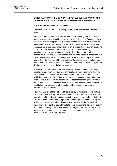

# **OTHER PARTS OF THE UK? WHAT IMPACT WOULD VAT AND/OR APD CHANGES HAVE ON BUSINESSES ADMINISTRATIVE BURDENS?**

## **3.10.1 Impact on elsewhere in the UK**

Reductions to VAT and APD may impact the GB tourism sector in several ways.

First, the proposed reductions in VAT on tourism-related goods and services reduces the cost of visiting NI relative to elsewhere in the UK (assuming these VAT cuts were only applied to NI). International tourists who would otherwise have visited or spent more time in Great Britain may now opt to visit NI. The consequence of this policy may therefore bring a reduction in tourism spending in Great Britain. However, the extent of this will be determined by substitutability; how many potential tourists view NI as an alternative destination to GB. Intelligence gathered through consultation suggests that this impact will only be partial, indicating that NI is more likely to displace tourist activity from the Republic of Ireland instead. Consultees were keen to stress that tourism is marketed at an all-island level rather than across the UK, so the displacement effects are likely to be very limited.

A reduction or abolition of short-haul APD also reduces the relative cost of travelling to and from NI. As APD is only applied on outbound flights from the UK, it will equally benefit both inbound and outbound UK-based tourists. As highlighted by the NICEP (2014) study, domestic consumers tend to be more price-sensitive than inbound visitors. This indicates that more journeys may be encouraged from NI to elsewhere in the UK than vice versa. Lower travel costs would also be welcomed by other sectors of the economy that trade or collaborate across the UK.

However, analysis of the outbound trips taken by NI residents shows that just 1.07 million overnight trips were taken to GB in 2016, 240,000 fewer than the equivalent in 2011, despite an increase in the overall number of trips. In 2016, GB represented under a fifth (19 percent) of overnight trip destinations by NI residents. Domestic overnight trips and the equivalent for the Republic of Ireland have also contracted, with visits to other destinations driving the growth of outbound tourist journeys. This evidence suggests that destinations in GB are less likely to benefit from any increases in outbound journeys by NI residents as a result of reducing APD.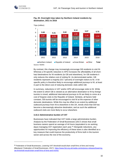

1



# **Fig. 20. Overnight trips taken by Northern Ireland residents by destination, 2011 to 2016**

By contrast, this change may increasingly encourage GB residents to visit NI.

Whereas a NI-specific reduction in APD increases the affordability of all shorthaul destinations for NI residents (to GB and elsewhere), for GB residents it only reduces the relative cost of visiting NI. As demonstrated earlier, GB residents represent a majority (53.7 percent) of overnight visitors to NI. A NIspecific policy is therefore likely to encourage additional journeys to NI, at least in part to the direct cost of reducing domestic visits within GB.

In summary, reductions in VAT and/or APD will encourage visits to NI. While the extent to which GB is viewed as an alternative destination to NI by foreign tourists is mixed, additional international journeys to NI are likely to come at a cost of forgone visits to the Republic of Ireland. Similarly, all factors held constant, GB tourists will be encouraged to visit NI at the expense of other domestic destinations. While this may be offset to an extent by additional outbound journeys from NI to elsewhere in the UK, trends show that GB has become a decreasingly attractive destination, and as such the additional outbound visits are more likely to occur elsewhere.

#### **3.10.2 Administrative burden of VAT**

Businesses have indicated that VAT holds a large administrative burden. Analysis by the Federation of Small Businesses (2017) shows that small business owners spend an average of 44 hours (equivalent to six working days) managing VAT registration each year.<sup>56</sup> Alongside reductions, any opportunities for improving the efficiency of these taxes is also identified as a key measure that could improve the productivity of firms both in the tourism sector and across the rest of the economy.

<sup>56</sup> Federation of Small Businesses, *Lowering VAT threshold would drain small firms of time and money*  (Blackpool: Federation of Small Businesses, 2017)[. https://www.fsb.org.uk/media-centre/press-releases/lowering](https://www.fsb.org.uk/media-centre/press-releases/lowering-vat-threshold-would-drain-small-firms-of-time-and-money)[vat-threshold-would-drain-small-firms-of-time-and-money](https://www.fsb.org.uk/media-centre/press-releases/lowering-vat-threshold-would-drain-small-firms-of-time-and-money)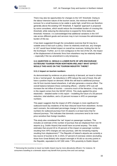

-

There may also be opportunities for changes to the VAT threshold. Owing to the labour-intensive nature of the tourism sector, the minimum threshold of turnover for a small business to be viable is quite high; small firms are therefore generally above the existing VAT threshold. A 'tapered' approach is proposed by some consultees, which would reduce the immediate burden of crossing this threshold, while reducing the disincentive to expand for firms below the threshold. However, it is acknowledged that additional variations in the VAT rate across different goods and services may in turn increase the administrative burden of this tax.

It has been suggested through the consultation exercise that NI may be a suitable area to trial such a policy. Given its relatively small size, any changes to VAT would have limited impact on overall tax revenues, limiting the risk for the Exchequer. Further, as it is non-contiguous to the rest of the UK, the impact of the displacement of domestic firms from elsewhere may be relatively limited – especially if the tax amendment is only temporary.

# <span id="page-36-0"></span>**3.11 QUESTION 11: WOULD A LOWER RATE OF APD ENCOURAGE OUTBOUND TOURISM FROM NORTHERN IRELAND? WHAT EFFECT WOULD THIS HAVE ON THE TOURISM INDUSTRY THERE?**

#### **3.11.1 Impact on tourism numbers**

As demonstrated by evidence on price elasticity of demand, air travel is shown to be a 'normal good'. As reductions in APD reduce the cost of travel, this will have a positive impact on demand. While this will lead to additional journeys into NI from tourists based elsewhere, it will also generate a reverse effect. The overall balance between these contrasting effects – whether APD cuts will increase the net inflow of tourists – concerns much of the literature. A key study in this regard comes from the NICEP (2014). This study applied the price elasticities – detailed earlier in this report – modelling the future of a 50 percent reduction, total abolition, and a 10 percent increase in APD on passenger numbers.

This paper suggests that the impact of APD changes is more significant for outbound travel (by residents of NI) than inbound travel from elsewhere. Across each scenario, the estimated percentage change in forecast passenger numbers for outbound journeys from NI airports is at least twice that for inbound journeys. This indicates that domestic consumers tend to be more price sensitive than foreign travellers.

This study also considered the 'net' impact on passenger numbers. This includes an estimate of the number of journeys that are displaced from non-NI airports (e.g. Dublin Airport) that would have occurred anyway. The study estimates that around 20 to 25 percent of the impact on passenger numbers resulting from APD changes are new journeys, with the remaining majority resulting from displacement.<sup>57</sup> The Republic of Ireland's airports are currently a key source of tourists to NI; in 2015, 67 percent of overseas visitors (excluding those from Great Britain) who stayed overnight in NI did so via entry points in the Republic, equivalent to 447,000 visits.[12](#page-9-0) NI's proximity to Dublin Airport

<sup>57</sup> Removing the incentive to travel via Dublin Airport may be more allocatively efficient. For instance, NI consumers travelling to a domestic airport may benefit from journey time and cost savings.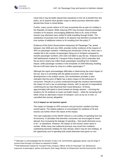

1

mean that it may be better placed than elsewhere in the UK to benefit from this policy, as its airports have greater scope to attract journeys otherwise taken abroad than those in Great Britain.

Further, many current visitors to NI may incorporate this as part of a holiday in the Republic of Ireland. While reducing APD may increase inbound passenger numbers to NI airports, encouraging additional visits to NI, some of these tourists may otherwise have visited NI while travelling through Dublin. The substitution of journeys from Dublin to NI airports may therefore overstate the true number of additional visitors to NI resulting from this policy.<sup>58</sup>

Evidence of the Dutch Government's temporary Air Passenger Tax, levied between July 2008 and July 2009, provides further evidence of the impacts of APD on passenger numbers. Following the introduction of the tax, there was a notable fall in the number of passengers flying out of Schiphol compared to transfer passenger numbers, who were not liable to pay the tax. Analysis by the KiM Netherlands Institute for Transport Policy Analysis (2011) estimates that the tax led to nearly two million fewer passengers travelling from Schiphol Airport, while passenger numbers in the remainder of 2009 following resetting this tax to  $\epsilon$ 0 were down by close to a million passengers.<sup>59</sup>

Although the report acknowledges difficulties in determining the exact impact of this tax, due to it coinciding with the global economic crisis and other developments in the aviation sector, this nevertheless provides a clear indication that the price of flights has a direct impact on the behaviour of consumers. Results of a survey conducted through this research demonstrates the impact of such a tax on passenger choices, with 14 percent of respondents confirming the tax had influenced their travel behaviour. Of those, approximately half opted to travel instead via foreign airports – mirroring the tendency for NI residents to travel via Dublin Airport – while the remaining half either chose an alternative means of transport, such as by car or train, or cancelled their journey altogether.

## **3.11.2 Impact on net tourism spend**

The impact of changes to APD concerns not just tourism numbers but their overall spend. The relative patterns of consumption for residents of NI and tourists can further inform the nature of this impact.

The main implication of the NICEP (2014) is a net outflow of spending from the NI economy. It calculates that domestic consumers are encouraged to travel abroad, thus increasing the leakage of spending – that would otherwise occur in NI – to elsewhere. However, the impact on the tourism sector alone is unclear. While many new outbound journeys may result from residents substituting domestic holidays for trips abroad, others may be new holidays, at the opportunity cost of spending that would otherwise have gone on non-

<sup>58</sup> Although it is acknowledged that the duration of stay in NI, and therefore aggregate spend, may be longer if tourists travel through a NI airport as opposed to Dublin.

<sup>59</sup> KiM Netherlands Institute for Transport Policy Analysis, *Effects of the Air Passenger Tax: Behavioural responses of passengers, airlines and airports* (Den Haag: Ministry of Infrastructure and the Environment, 2011).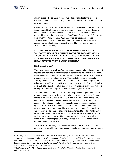

1

tourism goods. The balance of these two effects will indicate the extent to which the tourism sector alone may be directly impacted from an additional net outflow of tourists.

A report on the Scottish Air Departure Tax (ADT), equivalent to the APD, for the Common Weal think-tank, provides an alternative means by which this policy may adversely affect the domestic economy.<sup>60</sup> It cites evidence in the PwC report, which notes that foreign tourists *"tend to purchase a more limited range of lower value-added goods and services"* than domestic consumers. Therefore, even if the additional inbound tourists were able to match the spending power of outbound tourists, this could have an overall negative impact on the NI economy.

# <span id="page-38-0"></span>**3.12 QUESTION 12: WHAT WOULD BE THE INDIVIDUAL AND/OR COLLECTIVE IMPACT OF A CHANGE TO VAT ON: ACCOMMODATION, LEISURE ACTIVITIES AND RESTAURANTS, OTHER TOURISM RELATED ACTIVITIES AND/OR A CHANGE TO APD RATES IN NORTHERN IRELAND ON TAX REVENUE AND THE WIDER ECONOMY?**

#### **3.12.1 Impact of VAT**

While the process by which VAT cuts can boost output and employment are not disputed, the literature in this field tends to concern the net impact of this policy on tax revenues. Studies by the Campaign for Reduced Tourism VAT presents evidence of a positive net impact of VAT rate cuts to tourism services to Treasury revenues, both at a UK  $(2017)^{61}$  and NI  $(2018)$  level. It argues that higher rates of VAT mean that NI loses out to tourism activity from the Republic of Ireland, citing the observation that tourism revenues are eight times higher in the Republic, despite a population just 2.8 times larger than in NI.

This report models a reduction in VAT from 20 percent to 5 percent<sup>62</sup> on visitor accommodation and attractions in NI, and estimates that the loss of Treasury income in the first year would be £11.3 million in NI (or £439 million to £479 million across the UK). However, as the positive effects filter through the economy, the net impact on tax incomes is forecast to become positive; equating to £13 million in the first five years after the intervention (in net present value terms), and £90 million over a ten-year period. The cumulative improvement to NI's balance of payments is estimated to be £119 million over this ten-year period. This reduction in VAT will also have a positive impact on employment, generating over 3,200 jobs over the first ten years, of which almost 1,200 additional jobs are directly created in the visitor accommodation and visitor attractions sectors.

Cut Tourism VAT (2018b) similarly estimated the impacts of a VAT cut to 5 percent on the out-of-home meals sector.<sup>63</sup> It estimates that such a policy alone

<sup>60</sup> Dr. Craig Dalzell, *Air Departure Tax: A Post-Brexit Analysis* (Glasgow: Common Weal Policy, 2017).

<sup>61</sup> Campaign for Reduced Tourism VAT, *The Impact of Reduced VAT Rates on British Visitor Accommodation, Attractions and the Wider Economy: Report of Discussions with HM Treasury and Results of Dynamic Partial Equilibrium and Computable General Equilibrium Models* (London: British Hospitality Association, 2012). <sup>62</sup> The lowest possible rate under EU VAT law.

<sup>63</sup> Cut Tourism VAT, *VAT on Out-of-Home Meals in Northern Ireland* (London: Tourism Respect & Nevin Associates Ltd, 2018).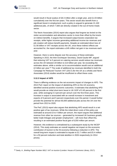-

would result in fiscal surplus of £8.3 million after a single year, and £1.03 billion cumulatively over the first ten-years. This sector would also benefit from a significant boost in employment; such a policy is argued to generate 21,100 additional jobs, of which 7,600 are directly created in the out-of-home meals sector.

The Nevin Associates (2014) report also argues that forgone tax levied on the visitor accommodation and attractions sector is more than offset by the knockon indirect benefits. It argues that increased output boosts corporation tax receipts, while higher incomes generating additional income tax revenues and job creation will reduce benefit payments. Despite an estimated direct loss of £1.56 billion in VAT receipts across the UK, once these indirect effects are accounted for, the report estimates a £45 million net gain in tax revenues each year.

However, there is some dispute over the accuracy of these estimates. Speaking in 2015, the then Exchequer Secretary, David Gauke MP, argued that reducing VAT to 5 percent on catering services would reduce tax revenues across the UK between £9 billion to £10 billion per year, far exceeding the estimates above, while a similar cut to accommodation would cost an additional  $£2$  billion per year.<sup>64</sup> The scale of additional tax revenues identified in both the Campaign for Reduced Tourism VAT (2017) (for the UK as a whole) and Nevin Associates (2014) studies would be insufficient to offset these costs.

# **3.12.2 Impact of APD**

There is differing evidence on the net economic impact of changes to APD. The 2013 PwC report on the impact of abolishing APD on the UK economy identified several positive economic outcomes. It estimates that abolishing APD would provide an initial short-term boost in UK GDP of 0.45 percent in the first year, while averaging 0.3 percent per annum over the first three years. This increase in output is associated with an overall increase in investment and exports of 6 percent and 5 percent respectively over this period. It would further provide the potential for almost 60,000 additional jobs across the UK over the period from 2013 to 2020.

The PwC (2013) report also argues that abolishing APD would result in a net positive gain of tax revenues. While the initial direct costs of this policy are estimated at around £3 to 4 billion per annum, the report argues that additional revenue from other tax sources – generated by increased UK business growth, better trade linkages and greater employment – will more than offset this, resulting in an estimated positive fiscal gain of £250 million per annum.

However, this evidence is contradicted by a subsequent study by the NICEP (2014). This study estimates an overall negative net impact on the economic contribution of tourism to the NI economy following a reduction in APD. The overall long-term impact is estimated to equate to £2.7 million and £5.4 million for a 50 percent reduction and total abolition in 2026 respectively (in 2014 prices).

<sup>64</sup> Seely, A., *Briefing Paper Number 6812: VAT on tourism* (London: House of Commons Library, 2017).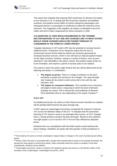

This report also indicates that reducing APD would have an adverse net impact on tax revenues in NI. In testing both the 50 percent reduction and abolition scenarios, the positive income effect of money retained by passengers and subsequent boost in consumption is insufficient to offset the initial loss of tax revenues. The magnitude of the negative net impact is estimated to be £19.3 million and £42.9 million respectively for these scenarios in 2026.

# <span id="page-40-0"></span>**3.13 QUESTION 13: HOW WOULD BUSINESSES IN THE TOURISM SECTOR RESPOND TO VAT AND APD CHANGES AND TO WHAT EXTENT WOULD THOSE CHANGES WOULD BE PASSED THROUGH TO CONSUMERS IN THE FORM OF LOWER PRICES?**

Targeted reductions to VAT and/or APD has the potential to increase tourismrelated turnover. Proponents of tax reductions argue that this loss of Government income will be offset by indirect tax revenues generated by increased business turnover, which in turn will have an induced positive impact on the wider economy. However, owing to a variety of factors, such as price stickiness<sup>65</sup> and inflexibility in the labour market, this positive impact tends not to be immediate, and requires a period of several years to be realised.

The extent to which this policy might achieve this aim will be determined by the following two factors, in combination:

- **The impact on prices:** There is a range of evidence on the price sensitivity of goods and services to tax changes. The 'pass-through rate' measures the extent to which prices fall in line with the rate reduction; and
- **The impact on consumer behaviour:** This considers how consumers will adapt to lower prices, measuring to which the level of demand changes as a result. This is termed the 'price elasticity of demand'. Price elasticities tend to vary depending on the nature of goods.<sup>66</sup>

# **3.13.1 VAT**

-

As detailed previously, the extent to which these economic benefits are realised will be partially determined by the pass-through rate.

A 2007 report by Copenhagen Economics considered the impacts of reduced VAT across the Member States of the EU.<sup>67</sup> It indicates that the permanent lowering of VAT tends to result in an equivalent fall in prices, as VAT changes have a *"strong tendency towards full pass-thorough"*. Based on this evidence, we might expect a cut in tourism VAT in NI to be fully reflected by adjusted prices.

Evidence from our consultations with the hotel's sector would reinforce the above findings. Hostellers we spoke with that operate in both jurisdictions of

<sup>&</sup>lt;sup>65</sup> The tendency for prices to remain unchanged or adjust slowly to changes in the costs of producing and selling goods.

<sup>&</sup>lt;sup>66</sup> Where a fall in the price is associated with a greater-than-proportionate increase in the quantity purchased, the demand for these goods is termed price elastic, while conversely where the impact on quantity is less-thanproportionate, demand is price-inelastic.

<sup>67</sup> Copenhagen Economics, *Study on reduced VAT applied to goods and services in the Member States of the European Union* (Copenhagen: Copenhagen Economics, 2007).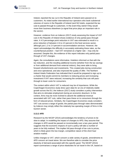

Ireland, reported the tax cut in the Republic of Ireland were passed on to customers. As noted earlier international tour operators who book substernal volumes of rooms in the Republic of Ireland (and NI) hotels, expected the tax cuts to passed through to customers. In the event they weren't they would move their business elsewhere (a signal that price plays an important role in the sector).

However, evidence from an Indecon (2017) study assessing the impact of VAT cuts in the Republic of Ireland shows evidence of only partial pass-through rates. A 4.5 percentage point reduction in VAT was estimated to result in a price reduction of between 2.6 to 4.5 percent in the food services sector, although just 1.2 to 2.4 percent in accommodation services. However, the report acknowledges the difficulty in accurately estimating these rates, as the counterfactual position – had VAT remained at a higher rate – may only be assumed. Despite this, the evidence of this report indicates only partial passthrough of VAT changes.

Again, the consultations were informative. Hoteliers informed us that with the tax reduction, and the resulting additional income (whether from the tax savings or from additional demand from external visitors), they were able to bring forward refurbishments and investments. This created jobs during construction and once operational, and also improved the quality of offer. The Northern Ireland Hotels Federation has indicated that it would be prepared to sign up to a charter that would commit its members to reducing prices and increasing investment if VAT were reduced, increasing the certainty that cuts will passthrough to lower costs for consumers.

The context within which VAT is reduced may be of importance. While the Copenhagen Economics study drew upon data for an era of relatively stable growth across the EU, the Indecon (2017) study considers a policy intervention that aims to stimulate employment during an economic downturn. In this context, firms may be more inclined to absorb the additional revenue associated with VAT cuts, rather than pass these on to consumers through the form of reduced prices. Similarly, the Copenhagen Economics study considers VAT cuts across a range of goods; the partial pass-through rates demonstrated by Indecon may simply reflect the relatively low operating margin of firms in the tourism sector.

#### **3.13.2 APD**

Research by the NICEP (2014) acknowledges the tendency of prices to be slow to adapt. In modelling the impact of changes to APD, they assume that changes in APD would be passed on incrementally over a two-year period. This suggests that the economic impacts of such a policy will take a number of years to be fully realised. This implies full pass-through of tax cuts to prices, which is likely given the low-margin, competitive nature of the short-haul aviation market.

Unlike changes to VAT, which concern a wide variety of goods, amendments to APD concern air travel alone. We are therefore able to consider the price elasticity of demand associated with this specific good. The NICEP (2014) report summarises a range of price elasticities for air travel in the UK, based on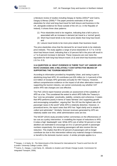

-

a literature review of studies including Dargay & Hanley (2001)<sup>68</sup> and Cairns, Dargay & Menaz (2006).<sup>69</sup> The paper presents estimates of the price elasticities for short and long-haul travel for both leisure and business in the UK, alongside evidence for those outside of the UK (i.e. in the Republic of Ireland). It shows three clear patterns:

- (1) Price elasticities tend to be negative, indicating that a fall in price is associated with an increase in demand (air travel is a 'normal' good);
- (2) Short-haul travel tends to be more price elastic than long-haul travel; and
- (3) Leisure travel tends to be more price elastic than business travel.

The price elasticities show that the demand for air travel tends to be relatively price inelastic. The study applies a range of price-elasticities of -0.7 to -0.8 for short-haul leisure travel, indicating that a 10 percent fall in the price will result in a 7 to 8 percent increase in demand. These measures are over twice the equivalent for both long-haul leisure travel (-0.3) and short-haul business travel (-0.2 to -0.3).

# <span id="page-42-0"></span>**3.14 QUESTION 14: WHAT EVIDENCE IS THERE THAT VAT AND/OR APD RATE CHANGES ARE A RELATIVELY COST-EFFECTIVE MEANS OF SUPPORTING THE TOURISM INDUSTRY?**

According to information provided by Hospitality Ulster, and owing in part to abolishing long-haul APD, NI contributes just £55 million (or 1.4 percent) of the £3.9 billion of receipts APD generates annually for HM Treasury. However, without comprehensive evidence on the impact of all other alternative means of supporting the tourism industry, we cannot conclusively say whether VAT and/or APD rate changes are cost effective.

The PwC (2013) report however provides an assessment of the suitability of APD as a tax. This considered the extent to which APD fulfils the Treasury's four 'core tax principles': practicality, stability, certainty and coherence. It states that APD performs poorly in terms of 'basic fairness' and 'supporting growth and encouraging competition', arguing that *"the UK has the highest rate of air passenger taxes in the world"* while APD is relatively distortive. However, in procedural terms, the report notes that APD has *"legal clarity and is simple to collect and administer"*. Similarly, forecast revenues generated by APD are relatively stable over time, while administrative costs are low.

The NICEP (2014) study provides further commentary on the effectiveness of tax cuts as a policy intervention. In modelling the impact of reductions to APD, it notes a high 'deadweight' cost. While APD cuts of either 50 percent or total abolition are estimated to encourage an 8 to 12 percent growth in passenger numbers respectively, the remaining passengers will also receive this tax reduction. This implies that 88 to 92 percent of passengers will no longer contribute tax due to this intervention without any material change in behaviour, or benefit to the domestic tourism sector. A similar principle applies to a

<sup>68</sup> Dargay, J. & Hanly, M., *The Determinants of the Demand for International Air Travel to and from the UK*  (London: University College London, 2001).

<sup>69</sup> Cairns, S., Dargay, J. and Hanly, M., *Attitudes to Aviation and Climate Change* (Leeds: Commission for Integrated Transport, 2006).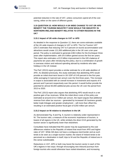<span id="page-43-0"></span>

potential reduction in the rate of VAT, unless consumers spend all of the cost saving, either on the same of different goods.

# **3.15 QUESTION 15: HOW WOULD A UK-WIDE CHANGE TO VAT OR APD BENEFIT THE TOURISM INDUSTRY? HOW WOULD THE INDUSTRY IN NORTHERN IRELAND BENEFIT RELATIVE TO OTHER REGIONS IN THE UK?**

## **3.15.1 Impact of UK-wide changes to VAT or APD**

As detailed in the response to Question 12, there are some estimates available of the UK-wide impacts of changes to VAT or APD. The Cut Tourism VAT (2017) estimates that reducing VAT to 5 percent on tourist accommodation and attractions would create 121,000 additional jobs in the UK over a ten-year period. The policy is estimated to generate £363 million for the Exchequer three years after implementation, with £4.6 billion gained across the first ten years. This report also estimates a £3.5 billion improvement in the UK's balance of payments ten years after introducing this policy, due to a combination of growth in overseas visitors and reduced spending abroad by residents who take holidays in the UK instead.

The PwC (2013) report provides a similar estimate for a UK-wide abolition of APD. As detailed previously, this study estimates that abolishing APD would provide an initial short-term boost in UK GDP of 0.45 percent in the first year, while averaging 0.3 percent per annum over the first three years. This increase in output is associated with an overall increase in investment and exports of 6 percent and 5 percent respectively over this period. It would further provide the potential for almost 60,000 additional jobs across the UK over the period from 2013 to 2020.

The PwC (2013) report also argues that abolishing APD would result in a net positive gain of tax revenues. While the initial direct costs of this policy are estimated at around £3 to 4 billion per annum, the report argues that additional revenue from other tax sources – generated by increased UK business growth, better trade linkages and greater employment – will more than offset this, resulting in an estimated positive fiscal gain of £250 million per annum.

#### **3.15.2 Impact on NI relative to elsewhere in the UK**

As demonstrated [Fig. 8](#page-12-0) and [Fig. 9,](#page-13-2) tourism is relatively under-represented in NI. The tourism ratio, a measure of the economic importance of tourism, is lowest of all regions in the UK, while similarly the direct GVA generated by the tourism sector is significantly lower than elsewhere.

Consultees have indicated that NI's sector may be suppressed by the cost differences relative to the Republic of Ireland that result from APD and higher rates of VAT. While GB does not have a contiguous land border and as such tends to be seen as a single tourism market, the island of Ireland tends to be perceived as a destination in itself; trips to NI and the Republic of Ireland are in this sense substitutable.

Reductions in VAT, APD or both may boost the tourism sector in each of the UK's regions in two ways: through encouraging new inbound journeys from foreign tourists who would otherwise have visited elsewhere, and increasing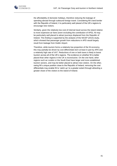

the affordability of domestic holidays, therefore reducing the leakage of spending abroad through outbound foreign travel. Considering NI's land border with the Republic of Ireland, it is particularly well placed of the UK's regions to encourage new visitors.

Similarly, given the relatively low cost of internal travel across the island relative to more expensive air fares (even excluding the contribution of APD), NI may be particularly well placed to attract journeys displaced from the Republic of Ireland. This finding is supported by the analysis of the NICEP (2014) study, which showed that passenger growth from reductions in APD would largely result from leakage from Dublin Airport.

Therefore, while tourism forms a relatively low proportion of the NI economy, this may partially be driven by cost differentials born at least in part by APD and a relatively high rate of VAT. Reductions of one or both taxes is likely to boost tourism across all of the UK's regions. The evidence on whether NI is better placed than other regions in the UK is inconclusive. On the one hand, other regions such as London or the South East have larger and more established tourism sectors, and may be better placed to attract new visitors. On the other, owing NI's unique position close to the Republic of Ireland, removing the cost differentials may enable NI to 'catch-up' to a greater extent through attracting a greater share of the visitors to the island of Ireland.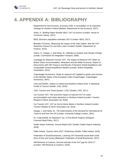

# <span id="page-45-0"></span>**4. APPENDIX A: BIBLIOGRAPHY**

Department for the Economy, *Economy 2030: A consultation on an Industrial Strategy for Northern Ireland* (Belfast: Department for the Economy, 2017).

Seely, A., *Briefing Paper Number 6812: VAT on tourism* (London: House of Commons Library, 2017).

BEIS, *Business population estimates 2017* (London: BEIS, 2017).

Brendan O'Connor, *Measuring the Impact of the Jobs Initiate: Was the VAT Reduction Passed On and Were Jobs Created?* (Dublin: Department of Finance, 2013).

Cairns, S., Dargay, J. and Hanly, M., *Attitudes to Aviation and Climate Change* (Leeds: Commission for Integrated Transport, 2006).

Campaign for Reduced Tourism VAT, *The Impact of Reduced VAT Rates on British Visitor Accommodation, Attractions and the Wider Economy: Report of Discussions with HM Treasury and Results of Dynamic Partial Equilibrium and Computable General Equilibrium Models* (London: British Hospitality Association, 2012).

Copenhagen Economics, *Study on reduced VAT applied to goods and services in the Member States of the European Union* (Copenhagen: Copenhagen Economics, 2007).

CSO and NISRA, *Visitors to Ireland and Northern Ireland 2014: A Statistical Profile of Tourism* (Dublin: CSO, 2016).

CSO, *Tourism and Travel Quarter 1 2017* (Dublin: CSO, 2017).

Cut Tourism VAT, *The economic impact of reduced VAT on visitor accommodation and visitor attractions in Northern Ireland* (London: Tourism Respect & Nevin Associates Ltd, 2018).

Cut Tourism VAT, *VAT on Out-of-Home Meals in Northern Ireland* (London: Tourism Respect & Nevin Associates Ltd, 2018).

Dargay, J. and Hanly, M., *The Determinants of the Demand for International Air Travel to and from the UK* (London: University College London, 2001).

Dr. Craig Dalzell, *Air Departure Tax: A Post-Brexit Analysis* (Glasgow: Common Weal Policy, 2017).

Dublin Airport Authority, *Annual Report 2017* (Dublin: Dublin Airport Authority, 2018).

Fáilte Ireland, *Tourism Facts 2017: Preliminary* (Dublin: Fáilte Ireland, 2018).

Federation of Small Businesses, *Lowering VAT threshold would drain small firms of time and money* (Blackpool: Federation of Small Businesses, 2017).

HM Revenue & Customs, *Second estimate of the VAT gap for 2016-17* (London: HM Revenue & Customs, 2018).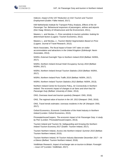

Indecon, *Impact of the VAT Reduction on Irish Tourism and Tourism Employment* (Dublin: Fáilte Ireland, 2017).

KiM Netherlands Institute for Transport Policy Analysis, *Effects of the Air Passenger Tax: Behavioural responses of passengers, airlines and airports* (Den Haag: Ministry of Infrastructure and the Environment, 2011).

Masiero, L. and Nicolau, J., *Price sensitivity to tourism activities: looking for determinant factors* (Lugano: Tourism Economics, 2012).

Masiero, L. and Nicolau, J., *Tourism Market Segmentation Based on Price* (Lugano: Journal of Travel Research, 2012).

Nevin Associates, *The fiscal impact of lower VAT rates on visitor accommodation and attractions in the United Kingdom* (Edinburgh: Nevin Associates, 2014).

NISRA, *External Overnight Trips to Northern Ireland 2016* (Belfast: NISRA, 2017).

NISRA, *Northern Ireland Annual Hotel Occupancy Survey 2016* (Belfast: NISRA, 2017).

NISRA, *Northern Ireland Annual Tourism Statistics 2016* (Belfast: NISRA, 2017).

NISRA, *Northern Ireland Ports Traffic 2016* (Belfast: NISRA, 2017).

NISRA, *Northern Ireland Tourism Statistics 2012* (Belfast: NISRA, 2013).

Northern Ireland Centre for Economic Policy, *Air Connectivity in Northern Ireland: The economic impact of changes to air fares and short-haul Air Passenger Duty* (Belfast: University of Ulster, 2014).

ONS, *Overseas travel and tourism quarterly* (Newport: ONS, 2018).

ONS, *The regional value of tourism in the UK: 2013* (Newport: ONS, 2016).

ONS, *Travel trends estimates: overseas residents in the UK* (Newport: ONS, 2017).

Oxford Economics, *Economic Contribution of the Hotel Industry in Northern Ireland* (London: Oxford Economics, 2013).

PricewaterhouseCoopers, *The economic impact of Air Passenger Duty: A study by PwC* (London: PricewaterhouseCoopers, 2013).

Tourism Ireland and Tourism NI, *Safeguarding and Growing the Northern Ireland Tourism Economy 2017* (Dublin: Tourism Ireland, 2017).

Tourism Northern Ireland, *Access into Northern Ireland: Summer 2015* (Belfast: Tourism Northern Ireland, 2015).

Tourism Northern Ireland, *NI Tourism Industry Barometer December 2017 – At a Glance* (Belfast: Tourism Northern Ireland, 2018).

VisitBritain Research, *Impact of exchange rate on tourism to Britain: Foresight – issue 147* (London: VisitBritain, 2017).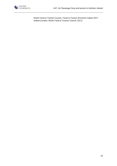

World Travel & Tourism Council, *Travel & Tourism Economic Impact 2017: Ireland* (London: World Travel & Tourism Council, 2017).